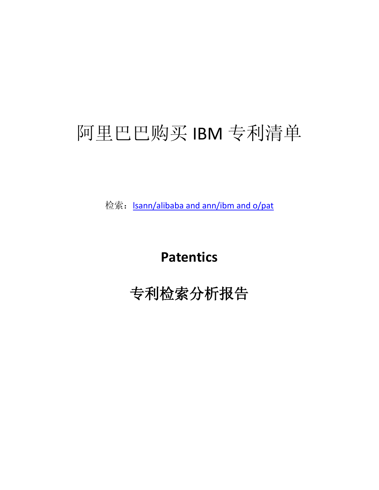# 阿里巴巴购买 IBM 专利清单

检索: <u>Isann/alibaba and ann/ibm and o/pat</u>

**Patentics**

专利检索分析报告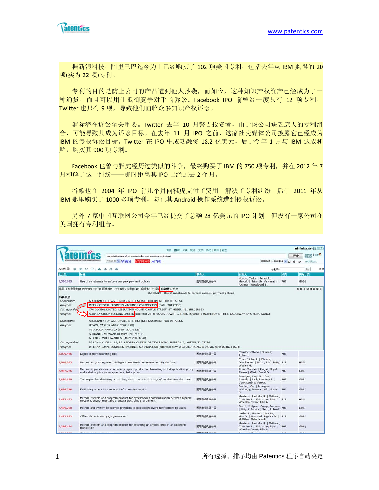

据新浪科技,阿里巴巴迄今为止已经购买了 102 项美国专利,包括去年从 IBM 购得的 20 项(实为 22 项)专利。

专利的目的是防止公司的产品遭到他人抄袭,而如今,这种知识产权资产已经成为了一 种通货,而且可以用于抵御竞争对手的诉讼。Facebook IPO 前曾经一度只有 12 项专利, Twitter 也只有 9 项,导致他们面临众多知识产权诉讼。

消除潜在诉讼至关重要。Twitter 去年 10 月警告投资者,由于该公司缺乏庞大的专利组 合,可能导致其成为诉讼目标。在去年 11 月 IPO 之前,这家社交媒体公司披露它已经成为 IBM 的侵权诉讼目标。Twitter 在 IPO 中成功融资 18.2 亿美元, 后于今年 1 月与 IBM 达成和 解,购买其900 项专利。

Facebook 也曾与雅虎经历过类似的斗争,最终购买了 IBM 的 750 项专利,并在 2012 年 7 月和解了这一纠纷——那时距离其 IPO 已经过去 2 个月。

谷歌也在 2004 年 IPO 前几个月向雅虎支付了费用,解决了专利纠纷,后于 2011 年从 IBM 那里购买了 1000 多项专利,防止其 Android 操作系统遭到侵权诉讼。

另外 7 家中国互联网公司今年已经提交了总额 28 亿美元的 IPO 计划,但没有一家公司在 美国拥有专利组合。

|                                                                                                                   |                                                                                                                                                                                                                                                                                                                                                                                                                                                                                                                                                                                                                                                                                                                                                                                                                                                                                                      | 首页   搜索   分类   统计   文档   历史   项目   管理 |                                                                                                    |     |                   | administrator[注销]英寸       |    |
|-------------------------------------------------------------------------------------------------------------------|------------------------------------------------------------------------------------------------------------------------------------------------------------------------------------------------------------------------------------------------------------------------------------------------------------------------------------------------------------------------------------------------------------------------------------------------------------------------------------------------------------------------------------------------------------------------------------------------------------------------------------------------------------------------------------------------------------------------------------------------------------------------------------------------------------------------------------------------------------------------------------------------------|---------------------------------------|----------------------------------------------------------------------------------------------------|-----|-------------------|---------------------------|----|
|                                                                                                                   | Isann/alibaba andnot ann/alibaba and ann/ibm and o/pat                                                                                                                                                                                                                                                                                                                                                                                                                                                                                                                                                                                                                                                                                                                                                                                                                                               |                                       |                                                                                                    |     | 搜索                | <b>世堂村助   论坛●</b><br>精度过滤 |    |
|                                                                                                                   | <sub>押索帮助</sub> → 字段組合<br>用户手册<br>部部物質の場                                                                                                                                                                                                                                                                                                                                                                                                                                                                                                                                                                                                                                                                                                                                                                                                                                                             |                                       | 美国市利 & 美国中青 ~                                                                                      | t   | œ<br>$\mathbf{v}$ | 快速出黑金文                    |    |
| 22项结果:<br>同                                                                                                       | 第四円 區 区 品画                                                                                                                                                                                                                                                                                                                                                                                                                                                                                                                                                                                                                                                                                                                                                                                                                                                                                           |                                       | 专利号:                                                                                               |     |                   | $\mathbf{k}$              | 四回 |
| 公开号                                                                                                               | 标题                                                                                                                                                                                                                                                                                                                                                                                                                                                                                                                                                                                                                                                                                                                                                                                                                                                                                                   | 由请人                                   | 发明人                                                                                                | 扮出  |                   | 国际分类                      |    |
| 8,380,625                                                                                                         | Use of constraints to enforce complex payment policies                                                                                                                                                                                                                                                                                                                                                                                                                                                                                                                                                                                                                                                                                                                                                                                                                                               | 国际商业机器公司                              | Hoyos; Carlos   Perazolo;<br>Marcelo   Srikanth; Viswanath   705<br>Aichner: Woodward S.           |     | G06Q              |                           |    |
| 转移信息<br>Conveyance<br>Assignor<br>Correspondel<br>Assignee<br>Conveyance<br>Assignor<br>Correspondent<br>Assignee | 摘要 主权利要求 数录 参考引用 分类 图片 索引 相关概念及专利 新颖分析 侵权分析 同<br><b>图 法律状态 信息</b><br>8,380,625 Use of constraints to enforce complex payment policies<br>ASSIGNMENT OF ASSIGNORS INTEREST (SEE DOCUMENT FOR DETAILS).<br>INTERNATIONAL BUSINESS MACHINES CORPORATION (date: 20130930)<br>CPA GLOBAL LIMITED, LIBERATION HOUSE, CASTLE STREET, ST HELIER, JE1 1BL JERSEY<br>ALIBABA GROUP HOLDING LIMITED (address: 26TH FLOOR, TOWER 1, TIMES SQUARE, I MATHESON STREET, CAUSEWAY BAY, HONG KONG)<br>ASSIGNMENT OF ASSIGNORS INTEREST (SEE DOCUMENT FOR DETAILS).<br>HOYOS, CARLOS (date: 20071228)<br>PERAZOLO, MARCELO (date: 20071228)<br>SRIKANTH, VISWANATH (date: 20071211)<br>AICHNER, WOODWARD S. (date: 20071228)<br>DILLON & YUDELL LLP, 8911 NORTH CAPITAL OF TEXAS HWY, SUITE 2110, AUSTIN, TX 78759<br>INTERNATIONAL BUSINESS MACHINES CORPORATION (address: NEW ORCHARD ROAD, ARMONK, NEW YORK, 10504) |                                       |                                                                                                    |     |                   | 88808808                  |    |
| 8,099,446                                                                                                         | Digital content searching tool                                                                                                                                                                                                                                                                                                                                                                                                                                                                                                                                                                                                                                                                                                                                                                                                                                                                       | 国际商业机器公司                              | Carullo; Vittorio   Guarda;<br>Roberto                                                             | 707 |                   |                           |    |
| 8,019,992                                                                                                         | Method for granting user privileges in electronic commerce security domains                                                                                                                                                                                                                                                                                                                                                                                                                                                                                                                                                                                                                                                                                                                                                                                                                          | 国际商业机器公司                              | Chan; Victor S.   Khusial;<br>Darshanand   Mirlas; Lev   Philip; 713<br>Wesley M.                  |     | <b>H04L</b>       |                           |    |
| 7,987,275                                                                                                         | Method, apparatus and computer program product implementing a chat application proxy<br>and a chat application wrapper in a chat system.                                                                                                                                                                                                                                                                                                                                                                                                                                                                                                                                                                                                                                                                                                                                                             | 国际商业机器公司                              | Shae; Zon-Yin   Pingali; Gopal<br>Sarma   Weck; David D.                                           | 709 | G06F              |                           |    |
| 7,870,130                                                                                                         | Techniques for identifying a matching search term in an image of an electronic document                                                                                                                                                                                                                                                                                                                                                                                                                                                                                                                                                                                                                                                                                                                                                                                                              | 国际商业机器公司                              | Banerjee; Dwip N.   Das;<br>Ranadip   Patil; Sandeep R.  <br>Venkatsubra; Venkat                   | 707 | G06F              |                           |    |
| 7,636,786                                                                                                         | Facilitating access to a resource of an on-line service                                                                                                                                                                                                                                                                                                                                                                                                                                                                                                                                                                                                                                                                                                                                                                                                                                              | 国际商业机器公司                              | Binding; Carl   Bourges-<br>Waldegg: Daniela   Hild: Stefan<br>G.                                  | 709 | G06F              |                           |    |
| 7,487,472                                                                                                         | Method, system and program product for synchronous communication between a public<br>electronic environment and a private electronic environment                                                                                                                                                                                                                                                                                                                                                                                                                                                                                                                                                                                                                                                                                                                                                     | 国际商业机器公司                              | Mantena; Ravindra R.   Mattoon;<br>Christina L.   Satpathy; Bijay   716<br>Wheeler-Cyran; Julie A. |     | <b>H04L</b>       |                           |    |
| 7,469,250                                                                                                         | Method and system for service providers to personalize event notifications to users                                                                                                                                                                                                                                                                                                                                                                                                                                                                                                                                                                                                                                                                                                                                                                                                                  | 国际商业机器公司                              | Bazot; Philippe   Cresp; Jacques<br>  Livigni; Fabrice   Sert; Richard                             | 707 | G06F              |                           |    |
| 7.437.663                                                                                                         | Offline dynamic web page generation                                                                                                                                                                                                                                                                                                                                                                                                                                                                                                                                                                                                                                                                                                                                                                                                                                                                  | 国际商业机器公司                              | Lakhdhir; Mansoor   Macias;<br>Mike V.   Massand; Jagdish D.   715<br>McMillan; Melinda Yuki       |     | G06F              |                           |    |
| 7,386,474                                                                                                         | Method, system and program product for providing an entitled price in an electronic<br>transaction                                                                                                                                                                                                                                                                                                                                                                                                                                                                                                                                                                                                                                                                                                                                                                                                   | 国际商业机器公司                              | Mantena; Ravindra R.   Mattoon;<br>Christina L.   Satpathy; Bijay  <br>Wheeler-Cyran; Julie A.     | 705 | G06O              |                           |    |
| 518.565                                                                                                           | Cingle cubmiccion buttons                                                                                                                                                                                                                                                                                                                                                                                                                                                                                                                                                                                                                                                                                                                                                                                                                                                                            | FFIRE the JU an 22.75 (2)             | Dagan: William O                                                                                   | 715 | nnee              |                           |    |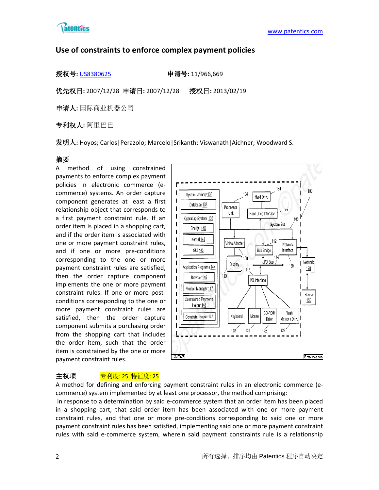

# **Use of constraints to enforce complex payment policies**

授权号**:** [US8380625](http://113.31.18.23/invokexml.do?sf=ShowPatent&spn=8380625&sv=2ce98a336b39d1de9c7bd24d7e134280) 申请号**:** 11/966,669

优先权日**:** 2007/12/28 申请日**:** 2007/12/28 授权日**:** 2013/02/19

申请人**:** 国际商业机器公司

专利权人**:** 阿里巴巴

发明人**:** Hoyos; Carlos|Perazolo; Marcelo|Srikanth; Viswanath|Aichner; Woodward S.

# 摘要

A method of using constrained payments to enforce complex payment policies in electronic commerce (ecommerce) systems. An order capture component generates at least a first relationship object that corresponds to a first payment constraint rule. If an order item is placed in a shopping cart, and if the order item is associated with one or more payment constraint rules, and if one or more pre-conditions corresponding to the one or more payment constraint rules are satisfied, then the order capture component implements the one or more payment constraint rules. If one or more postconditions corresponding to the one or more payment constraint rules are satisfied, then the order capture component submits a purchasing order from the shopping cart that includes the order item, such that the order item is constrained by the one or more payment constraint rules.



# 主权项 <mark>专利度: 25 特征度: 25</mark>

A method for defining and enforcing payment constraint rules in an electronic commerce (ecommerce) system implemented by at least one processor, the method comprising:

in response to a determination by said e-commerce system that an order item has been placed in a shopping cart, that said order item has been associated with one or more payment constraint rules, and that one or more pre-conditions corresponding to said one or more payment constraint rules has been satisfied, implementing said one or more payment constraint rules with said e-commerce system, wherein said payment constraints rule is a relationship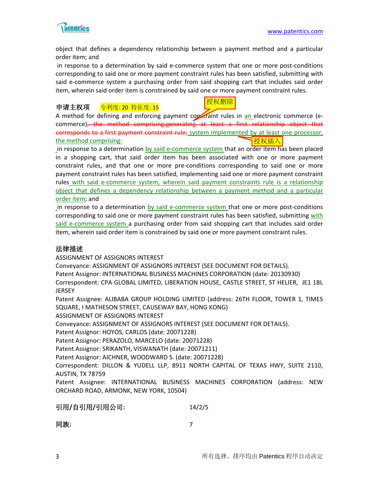

object that defines a dependency relationship between a payment method and a particular order item; and

in response to a determination by said e-commerce system that one or more post-conditions corresponding to said one or more payment constraint rules has been satisfied, submitting with said e-commerce system a purchasing order from said shopping cart that includes said order item, wherein said order item is constrained by said one or more payment constraint rules.

### 申请主权项 <u>专利度: 20 特征度: 15</u>



A method for defining and enforcing payment constraint rules in an electronic commerce (ecommerce), the method comprising:generating at least a first relationship object that corresponds to a first payment constraint rule; system implemented by at least one processor, the method comprising: 授权插入

in response to a determination by said e-commerce system that an order item has been placed in a shopping cart, that said order item has been associated with one or more payment constraint rules, and that one or more pre-conditions corresponding to said one or more payment constraint rules has been satisfied, implementing said one or more payment constraint rules with said e-commerce system, wherein said payment constraints rule is a relationship object that defines a dependency relationship between a payment method and a particular order item; and

in response to a determination by said e-commerce system that one or more post-conditions corresponding to said one or more payment constraint rules has been satisfied, submitting with said e-commerce system a purchasing order from said shopping cart that includes said order item, wherein said order item is constrained by said one or more payment constraint rules.

### 法律描述

ASSIGNMENT OF ASSIGNORS INTEREST

Conveyance: ASSIGNMENT OF ASSIGNORS INTEREST (SEE DOCUMENT FOR DETAILS).

Patent Assignor: INTERNATIONAL BUSINESS MACHINES CORPORATION (date: 20130930)

Correspondent: CPA GLOBAL LIMITED, LIBERATION HOUSE, CASTLE STREET, ST HELIER, JE1 1BL **JERSEY** 

Patent Assignee: ALIBABA GROUP HOLDING LIMITED (address: 26TH FLOOR, TOWER 1, TIMES SQUARE, I MATHESON STREET, CAUSEWAY BAY, HONG KONG)

ASSIGNMENT OF ASSIGNORS INTEREST

Conveyance: ASSIGNMENT OF ASSIGNORS INTEREST (SEE DOCUMENT FOR DETAILS).

Patent Assignor: HOYOS, CARLOS (date: 20071228)

Patent Assignor: PERAZOLO, MARCELO (date: 20071228)

Patent Assignor: SRIKANTH, VISWANATH (date: 20071211)

Patent Assignor: AICHNER, WOODWARD S. (date: 20071228)

Correspondent: DILLON & YUDELL LLP, 8911 NORTH CAPITAL OF TEXAS HWY, SUITE 2110, AUSTIN, TX 78759

Patent Assignee: INTERNATIONAL BUSINESS MACHINES CORPORATION (address: NEW ORCHARD ROAD, ARMONK, NEW YORK, 10504)

引用**/**自引用**/**引用公司**:** 14/2/5

同族**:** 7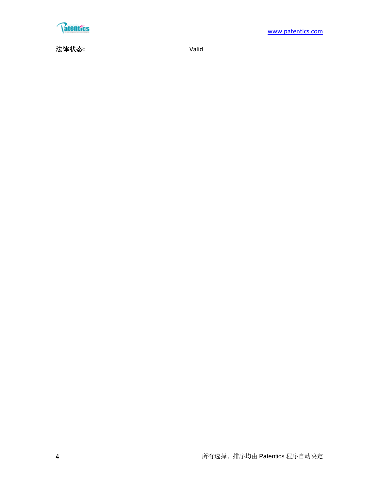

法律状态**:** Valid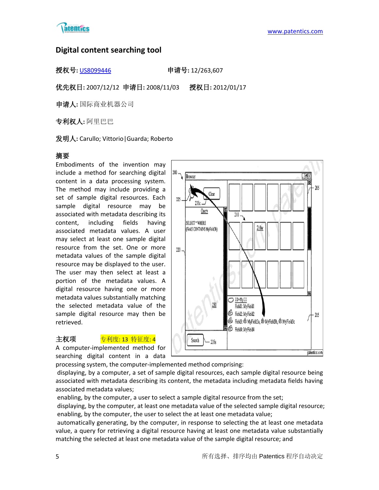

# **Digital content searching tool**

授权号**:** [US8099446](http://113.31.18.23/invokexml.do?sf=ShowPatent&spn=8099446&sv=e7e6416813ec59048befa4c05fe778e2) 申请号**:** 12/263,607

优先权日**:** 2007/12/12 申请日**:** 2008/11/03 授权日**:** 2012/01/17

申请人**:** 国际商业机器公司

专利权人**:** 阿里巴巴

发明人**:** Carullo; Vittorio|Guarda; Roberto

# 摘要

Embodiments of the invention may include a method for searching digital content in a data processing system. The method may include providing a set of sample digital resources. Each sample digital resource may be associated with metadata describing its content, including fields having associated metadata values. A user may select at least one sample digital resource from the set. One or more metadata values of the sample digital resource may be displayed to the user. The user may then select at least a portion of the metadata values. A digital resource having one or more metadata values substantially matching the selected metadata value of the sample digital resource may then be retrieved.

# 主权项 <mark>专利度: 13 特征度: 4</mark>

A computer-implemented method for searching digital content in a data



processing system, the computer-implemented method comprising: displaying, by a computer, a set of sample digital resources, each sample digital resource being associated with metadata describing its content, the metadata including metadata fields having associated metadata values;

enabling, by the computer, a user to select a sample digital resource from the set;

displaying, by the computer, at least one metadata value of the selected sample digital resource; enabling, by the computer, the user to select the at least one metadata value;

automatically generating, by the computer, in response to selecting the at least one metadata value, a query for retrieving a digital resource having at least one metadata value substantially matching the selected at least one metadata value of the sample digital resource; and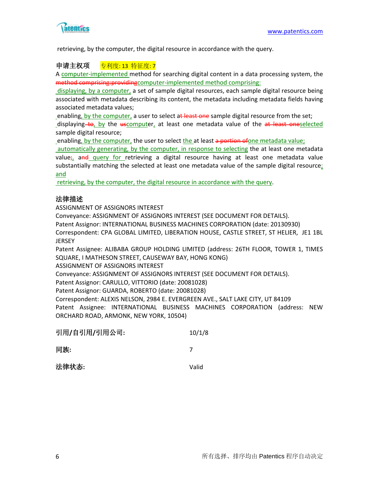

retrieving, by the computer, the digital resource in accordance with the query.

### 申请主权项 专利度: 13 特征度: 7

A computer-implemented method for searching digital content in a data processing system, the method comprising: providing computer-implemented method comprising:

displaying, by a computer, a set of sample digital resources, each sample digital resource being associated with metadata describing its content, the metadata including metadata fields having associated metadata values;

enabling, by the computer, a user to select at least one sample digital resource from the set;

displaying to, by the  $uscomputer$ , at least one metadata value of the  $at$  least oneselected sample digital resource;

enabling, by the computer, the user to select the at least a portion of one metadata value;

automatically generating, by the computer, in response to selecting the at least one metadata value;, and query for retrieving a digital resource having at least one metadata value substantially matching the selected at least one metadata value of the sample digital resource; and

retrieving, by the computer, the digital resource in accordance with the query.

# 法律描述

ASSIGNMENT OF ASSIGNORS INTEREST

Conveyance: ASSIGNMENT OF ASSIGNORS INTEREST (SEE DOCUMENT FOR DETAILS).

Patent Assignor: INTERNATIONAL BUSINESS MACHINES CORPORATION (date: 20130930)

Correspondent: CPA GLOBAL LIMITED, LIBERATION HOUSE, CASTLE STREET, ST HELIER, JE1 1BL JERSEY

Patent Assignee: ALIBABA GROUP HOLDING LIMITED (address: 26TH FLOOR, TOWER 1, TIMES SQUARE, I MATHESON STREET, CAUSEWAY BAY, HONG KONG)

ASSIGNMENT OF ASSIGNORS INTEREST

Conveyance: ASSIGNMENT OF ASSIGNORS INTEREST (SEE DOCUMENT FOR DETAILS).

Patent Assignor: CARULLO, VITTORIO (date: 20081028)

Patent Assignor: GUARDA, ROBERTO (date: 20081028)

Correspondent: ALEXIS NELSON, 2984 E. EVERGREEN AVE., SALT LAKE CITY, UT 84109 Patent Assignee: INTERNATIONAL BUSINESS MACHINES CORPORATION (address: NEW ORCHARD ROAD, ARMONK, NEW YORK, 10504)

| 引用/自引用/引用公司: | 10/1/8 |
|--------------|--------|
|              |        |

同族**:** 7

法律状态**:** Valid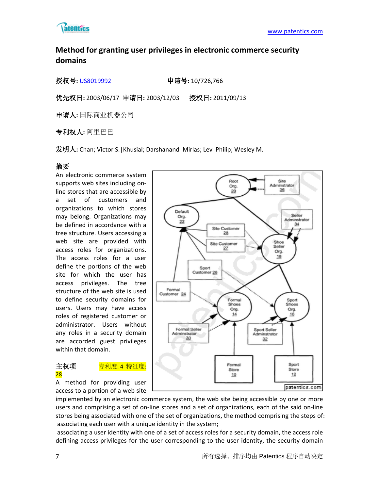

# **Method for granting user privileges in electronic commerce security domains**

授权号**:** [US8019992](http://113.31.18.23/invokexml.do?sf=ShowPatent&spn=8019992&sv=e79a7127ef4ff00687f5c5baa47e680e) 申请号**:** 10/726,766

优先权日**:** 2003/06/17 申请日**:** 2003/12/03 授权日**:** 2011/09/13

申请人**:** 国际商业机器公司

专利权人**:** 阿里巴巴

发明人**:** Chan; Victor S.|Khusial; Darshanand|Mirlas; Lev|Philip; Wesley M.

# 摘要

An electronic commerce system supports web sites including online stores that are accessible by a set of customers and organizations to which stores may belong. Organizations may be defined in accordance with a tree structure. Users accessing a web site are provided with access roles for organizations. The access roles for a user define the portions of the web site for which the user has access privileges. The tree structure of the web site is used to define security domains for users. Users may have access roles of registered customer or administrator. Users without any roles in a security domain are accorded guest privileges within that domain.

# 主权项 <mark>专利度:4 特征度:</mark> 28

A method for providing user access to a portion of a web site



implemented by an electronic commerce system, the web site being accessible by one or more users and comprising a set of on-line stores and a set of organizations, each of the said on-line stores being associated with one of the set of organizations, the method comprising the steps of: associating each user with a unique identity in the system;

associating a user identity with one of a set of access roles for a security domain, the access role defining access privileges for the user corresponding to the user identity, the security domain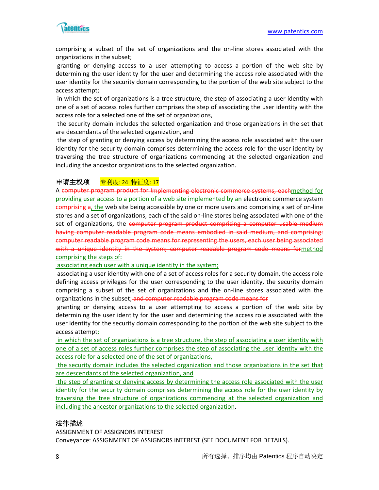

comprising a subset of the set of organizations and the on-line stores associated with the organizations in the subset;

granting or denying access to a user attempting to access a portion of the web site by determining the user identity for the user and determining the access role associated with the user identity for the security domain corresponding to the portion of the web site subject to the access attempt;

in which the set of organizations is a tree structure, the step of associating a user identity with one of a set of access roles further comprises the step of associating the user identity with the access role for a selected one of the set of organizations,

the security domain includes the selected organization and those organizations in the set that are descendants of the selected organization, and

the step of granting or denying access by determining the access role associated with the user identity for the security domain comprises determining the access role for the user identity by traversing the tree structure of organizations commencing at the selected organization and including the ancestor organizations to the selected organization.

# 申请主权项 专利度: 24 特征度: 17

A computer program product for implementing electronic commerce systems, eachmethod for providing user access to a portion of a web site implemented by an electronic commerce system comprising a, the web site being accessible by one or more users and comprising a set of on-line stores and a set of organizations, each of the said on-line stores being associated with one of the set of organizations, the computer program product comprising a computer usable medium having computer readable program code means embodied in said medium, and comprising: computer readable program code means for representing the users, each user being associated with a unique identity in the system; computer readable program code means formethod comprising the steps of:

#### associating each user with a unique identity in the system;

associating a user identity with one of a set of access roles for a security domain, the access role defining access privileges for the user corresponding to the user identity, the security domain comprising a subset of the set of organizations and the on-line stores associated with the organizations in the subset; and computer readable program code means for

granting or denying access to a user attempting to access a portion of the web site by determining the user identity for the user and determining the access role associated with the user identity for the security domain corresponding to the portion of the web site subject to the access attempt;

in which the set of organizations is a tree structure, the step of associating a user identity with one of a set of access roles further comprises the step of associating the user identity with the access role for a selected one of the set of organizations,

the security domain includes the selected organization and those organizations in the set that are descendants of the selected organization, and

the step of granting or denying access by determining the access role associated with the user identity for the security domain comprises determining the access role for the user identity by traversing the tree structure of organizations commencing at the selected organization and including the ancestor organizations to the selected organization.

### 法律描述

ASSIGNMENT OF ASSIGNORS INTEREST

Conveyance: ASSIGNMENT OF ASSIGNORS INTEREST (SEE DOCUMENT FOR DETAILS).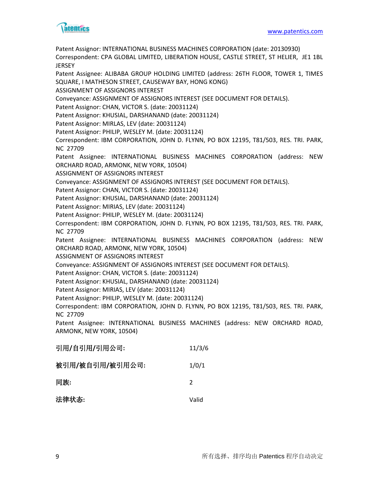

Patent Assignor: INTERNATIONAL BUSINESS MACHINES CORPORATION (date: 20130930) Correspondent: CPA GLOBAL LIMITED, LIBERATION HOUSE, CASTLE STREET, ST HELIER, JE1 1BL **JERSEY** Patent Assignee: ALIBABA GROUP HOLDING LIMITED (address: 26TH FLOOR, TOWER 1, TIMES SQUARE, I MATHESON STREET, CAUSEWAY BAY, HONG KONG) ASSIGNMENT OF ASSIGNORS INTEREST Conveyance: ASSIGNMENT OF ASSIGNORS INTEREST (SEE DOCUMENT FOR DETAILS). Patent Assignor: CHAN, VICTOR S. (date: 20031124) Patent Assignor: KHUSIAL, DARSHANAND (date: 20031124) Patent Assignor: MIRLAS, LEV (date: 20031124) Patent Assignor: PHILIP, WESLEY M. (date: 20031124) Correspondent: IBM CORPORATION, JOHN D. FLYNN, PO BOX 12195, T81/503, RES. TRI. PARK, NC 27709 Patent Assignee: INTERNATIONAL BUSINESS MACHINES CORPORATION (address: NEW ORCHARD ROAD, ARMONK, NEW YORK, 10504) ASSIGNMENT OF ASSIGNORS INTEREST Conveyance: ASSIGNMENT OF ASSIGNORS INTEREST (SEE DOCUMENT FOR DETAILS). Patent Assignor: CHAN, VICTOR S. (date: 20031124) Patent Assignor: KHUSIAL, DARSHANAND (date: 20031124) Patent Assignor: MIRIAS, LEV (date: 20031124) Patent Assignor: PHILIP, WESLEY M. (date: 20031124) Correspondent: IBM CORPORATION, JOHN D. FLYNN, PO BOX 12195, T81/503, RES. TRI. PARK, NC 27709 Patent Assignee: INTERNATIONAL BUSINESS MACHINES CORPORATION (address: NEW ORCHARD ROAD, ARMONK, NEW YORK, 10504) ASSIGNMENT OF ASSIGNORS INTEREST Conveyance: ASSIGNMENT OF ASSIGNORS INTEREST (SEE DOCUMENT FOR DETAILS). Patent Assignor: CHAN, VICTOR S. (date: 20031124) Patent Assignor: KHUSIAL, DARSHANAND (date: 20031124) Patent Assignor: MIRIAS, LEV (date: 20031124) Patent Assignor: PHILIP, WESLEY M. (date: 20031124) Correspondent: IBM CORPORATION, JOHN D. FLYNN, PO BOX 12195, T81/503, RES. TRI. PARK, NC 27709 Patent Assignee: INTERNATIONAL BUSINESS MACHINES (address: NEW ORCHARD ROAD, ARMONK, NEW YORK, 10504) 引用**/**自引用**/**引用公司**:** 11/3/6 被引用**/**被自引用**/**被引用公司**:** 1/0/1 同族**:** 2 法律状态**:** Valid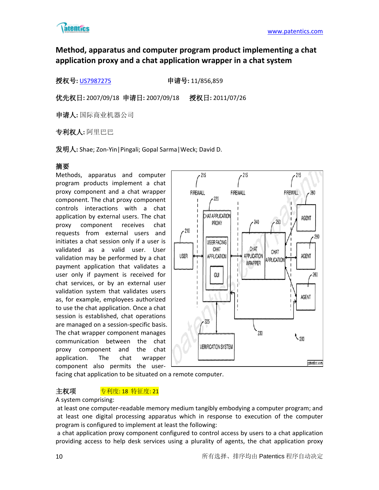

# **Method, apparatus and computer program product implementing a chat application proxy and a chat application wrapper in a chat system**

授权号**:** [US7987275](http://113.31.18.23/invokexml.do?sf=ShowPatent&spn=7987275&sv=316be2e1ccd76bfb778ea0e7157f83e8) 申请号**:** 11/856,859

优先权日**:** 2007/09/18 申请日**:** 2007/09/18 授权日**:** 2011/07/26

申请人**:** 国际商业机器公司

专利权人**:** 阿里巴巴

发明人**:** Shae; Zon-Yin|Pingali; Gopal Sarma|Weck; David D.

# 摘要

Methods, apparatus and computer program products implement a chat proxy component and a chat wrapper component. The chat proxy component controls interactions with a chat application by external users. The chat proxy component receives chat requests from external users and initiates a chat session only if a user is validated as a valid user. User validation may be performed by a chat payment application that validates a user only if payment is received for chat services, or by an external user validation system that validates users as, for example, employees authorized to use the chat application. Once a chat session is established, chat operations are managed on a session-specific basis. The chat wrapper component manages communication between the chat proxy component and the chat application. The chat wrapper component also permits the user-



facing chat application to be situated on a remote computer.

# 主权项 <mark>专利度: 18 特征度: 21</mark>

#### A system comprising:

at least one computer-readable memory medium tangibly embodying a computer program; and at least one digital processing apparatus which in response to execution of the computer program is configured to implement at least the following:

a chat application proxy component configured to control access by users to a chat application providing access to help desk services using a plurality of agents, the chat application proxy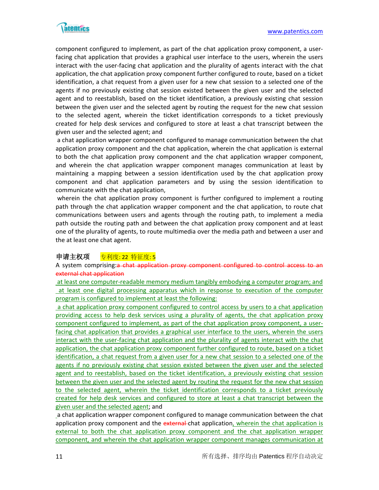

component configured to implement, as part of the chat application proxy component, a userfacing chat application that provides a graphical user interface to the users, wherein the users interact with the user-facing chat application and the plurality of agents interact with the chat application, the chat application proxy component further configured to route, based on a ticket identification, a chat request from a given user for a new chat session to a selected one of the agents if no previously existing chat session existed between the given user and the selected agent and to reestablish, based on the ticket identification, a previously existing chat session between the given user and the selected agent by routing the request for the new chat session to the selected agent, wherein the ticket identification corresponds to a ticket previously created for help desk services and configured to store at least a chat transcript between the given user and the selected agent; and

a chat application wrapper component configured to manage communication between the chat application proxy component and the chat application, wherein the chat application is external to both the chat application proxy component and the chat application wrapper component, and wherein the chat application wrapper component manages communication at least by maintaining a mapping between a session identification used by the chat application proxy component and chat application parameters and by using the session identification to communicate with the chat application,

wherein the chat application proxy component is further configured to implement a routing path through the chat application wrapper component and the chat application, to route chat communications between users and agents through the routing path, to implement a media path outside the routing path and between the chat application proxy component and at least one of the plurality of agents, to route multimedia over the media path and between a user and the at least one chat agent.

# 申请主权项 — <del>专利度: 22 特征度: 5</del>

A system comprising:a chat application proxy component configured to control access to an external chat application

at least one computer-readable memory medium tangibly embodying a computer program; and at least one digital processing apparatus which in response to execution of the computer program is configured to implement at least the following:

a chat application proxy component configured to control access by users to a chat application providing access to help desk services using a plurality of agents, the chat application proxy component configured to implement, as part of the chat application proxy component, a userfacing chat application that provides a graphical user interface to the users, wherein the users interact with the user-facing chat application and the plurality of agents interact with the chat application, the chat application proxy component further configured to route, based on a ticket identification, a chat request from a given user for a new chat session to a selected one of the agents if no previously existing chat session existed between the given user and the selected agent and to reestablish, based on the ticket identification, a previously existing chat session between the given user and the selected agent by routing the request for the new chat session to the selected agent, wherein the ticket identification corresponds to a ticket previously created for help desk services and configured to store at least a chat transcript between the given user and the selected agent; and

a chat application wrapper component configured to manage communication between the chat application proxy component and the external-chat application, wherein the chat application is external to both the chat application proxy component and the chat application wrapper component, and wherein the chat application wrapper component manages communication at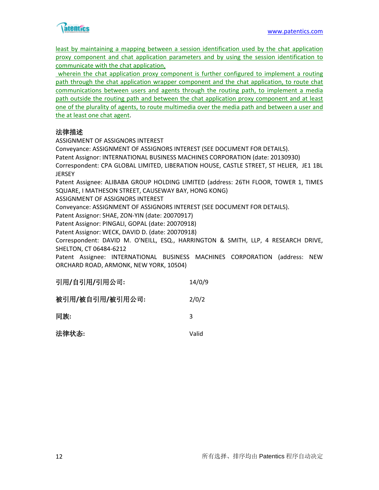

least by maintaining a mapping between a session identification used by the chat application proxy component and chat application parameters and by using the session identification to communicate with the chat application,

wherein the chat application proxy component is further configured to implement a routing path through the chat application wrapper component and the chat application, to route chat communications between users and agents through the routing path, to implement a media path outside the routing path and between the chat application proxy component and at least one of the plurality of agents, to route multimedia over the media path and between a user and the at least one chat agent.

# 法律描述

ASSIGNMENT OF ASSIGNORS INTEREST

Conveyance: ASSIGNMENT OF ASSIGNORS INTEREST (SEE DOCUMENT FOR DETAILS).

Patent Assignor: INTERNATIONAL BUSINESS MACHINES CORPORATION (date: 20130930)

Correspondent: CPA GLOBAL LIMITED, LIBERATION HOUSE, CASTLE STREET, ST HELIER, JE1 1BL JERSEY

Patent Assignee: ALIBABA GROUP HOLDING LIMITED (address: 26TH FLOOR, TOWER 1, TIMES SQUARE, I MATHESON STREET, CAUSEWAY BAY, HONG KONG)

ASSIGNMENT OF ASSIGNORS INTEREST

Conveyance: ASSIGNMENT OF ASSIGNORS INTEREST (SEE DOCUMENT FOR DETAILS).

Patent Assignor: SHAE, ZON-YIN (date: 20070917)

Patent Assignor: PINGALI, GOPAL (date: 20070918)

Patent Assignor: WECK, DAVID D. (date: 20070918)

Correspondent: DAVID M. O'NEILL, ESQ., HARRINGTON & SMITH, LLP, 4 RESEARCH DRIVE, SHELTON, CT 06484-6212

Patent Assignee: INTERNATIONAL BUSINESS MACHINES CORPORATION (address: NEW ORCHARD ROAD, ARMONK, NEW YORK, 10504)

| 引用/自引用/引用公司:    | 14/0/9 |
|-----------------|--------|
| 被引用/被自引用/被引用公司: | 2/0/2  |
| 同族:             | З      |
| 法律状态:           | Valid  |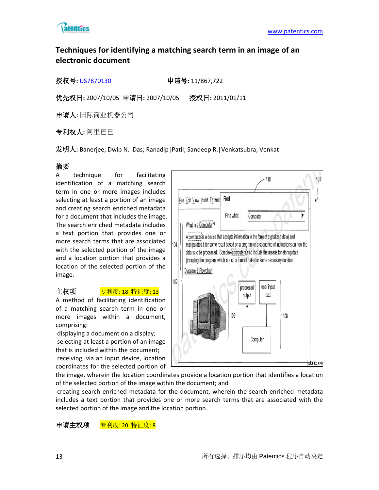

# **Techniques for identifying a matching search term in an image of an electronic document**

授权号**:** [US7870130](http://113.31.18.23/invokexml.do?sf=ShowPatent&spn=7870130&sv=ab381cd87bfda5bf15cedc9caa381aa8) 申请号**:** 11/867,722

优先权日**:** 2007/10/05 申请日**:** 2007/10/05 授权日**:** 2011/01/11

申请人**:** 国际商业机器公司

专利权人**:** 阿里巴巴

发明人**:** Banerjee; Dwip N.|Das; Ranadip|Patil; Sandeep R.|Venkatsubra; Venkat

# 摘要

A technique for facilitating identification of a matching search term in one or more images includes selecting at least a portion of an image and creating search enriched metadata for a document that includes the image. The search enriched metadata includes a text portion that provides one or more search terms that are associated with the selected portion of the image and a location portion that provides a location of the selected portion of the image.

# 主权项 <mark>专利度: 18 特征度: 13</mark>

A method of facilitating identification of a matching search term in one or more images within a document, comprising:

displaying a document on a display; selecting at least a portion of an image that is included within the document; receiving, via an input device, location coordinates for the selected portion of



the image, wherein the location coordinates provide a location portion that identifies a location of the selected portion of the image within the document; and

creating search enriched metadata for the document, wherein the search enriched metadata includes a text portion that provides one or more search terms that are associated with the selected portion of the image and the location portion.

申请主权项 专利度: 20 特征度: 8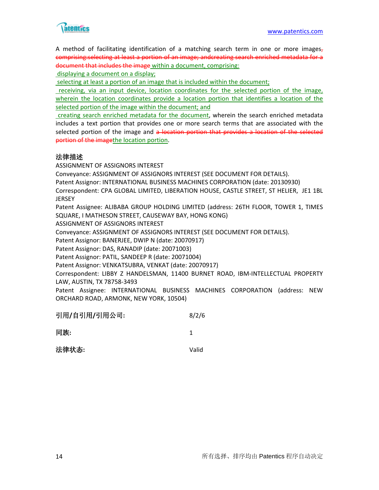

A method of facilitating identification of a matching search term in one or more images, comprising:selecting at least a portion of an image; andcreating search enriched metadata for a document that includes the image within a document, comprising:

displaying a document on a display;

selecting at least a portion of an image that is included within the document;

receiving, via an input device, location coordinates for the selected portion of the image, wherein the location coordinates provide a location portion that identifies a location of the selected portion of the image within the document; and

creating search enriched metadata for the document, wherein the search enriched metadata includes a text portion that provides one or more search terms that are associated with the selected portion of the image and a location portion that provides a location of the selected portion of the imagethe location portion.

# 法律描述

ASSIGNMENT OF ASSIGNORS INTEREST

Conveyance: ASSIGNMENT OF ASSIGNORS INTEREST (SEE DOCUMENT FOR DETAILS).

Patent Assignor: INTERNATIONAL BUSINESS MACHINES CORPORATION (date: 20130930)

Correspondent: CPA GLOBAL LIMITED, LIBERATION HOUSE, CASTLE STREET, ST HELIER, JE1 1BL **JERSEY** 

Patent Assignee: ALIBABA GROUP HOLDING LIMITED (address: 26TH FLOOR, TOWER 1, TIMES SQUARE, I MATHESON STREET, CAUSEWAY BAY, HONG KONG)

ASSIGNMENT OF ASSIGNORS INTEREST

Conveyance: ASSIGNMENT OF ASSIGNORS INTEREST (SEE DOCUMENT FOR DETAILS).

Patent Assignor: BANERJEE, DWIP N (date: 20070917)

Patent Assignor: DAS, RANADIP (date: 20071003)

Patent Assignor: PATIL, SANDEEP R (date: 20071004)

Patent Assignor: VENKATSUBRA, VENKAT (date: 20070917)

Correspondent: LIBBY Z HANDELSMAN, 11400 BURNET ROAD, IBM-INTELLECTUAL PROPERTY LAW, AUSTIN, TX 78758-3493

Patent Assignee: INTERNATIONAL BUSINESS MACHINES CORPORATION (address: NEW ORCHARD ROAD, ARMONK, NEW YORK, 10504)

| 引用/自引用/引用公司: | 8/2/6 |
|--------------|-------|
|--------------|-------|

同族**:** 1

法律状态**:** Valid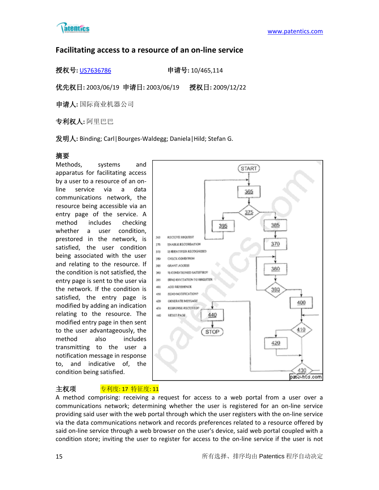

# **Facilitating access to a resource of an on-line service**

授权号**:** [US7636786](http://113.31.18.23/invokexml.do?sf=ShowPatent&spn=7636786&sv=be59a0ddb0bb0d6432292b8664ef35d9) 申请号**:** 10/465,114

优先权日**:** 2003/06/19 申请日**:** 2003/06/19 授权日**:** 2009/12/22

申请人**:** 国际商业机器公司

专利权人**:** 阿里巴巴

发明人**:** Binding; Carl|Bourges-Waldegg; Daniela|Hild; Stefan G.

# 摘要

Methods, systems and apparatus for facilitating access by a user to a resource of an online service via a data communications network, the resource being accessible via an entry page of the service. A method includes checking whether a user condition, prestored in the network, is satisfied, the user condition being associated with the user and relating to the resource. If the condition is not satisfied, the entry page is sent to the user via the network. If the condition is satisfied, the entry page is modified by adding an indication relating to the resource. The modified entry page in then sent to the user advantageously, the method also includes transmitting to the user a notification message in response to, and indicative of, the condition being satisfied.



# 主权项 专利度: 17 特征度: 11

A method comprising: receiving a request for access to a web portal from a user over a communications network; determining whether the user is registered for an on-line service providing said user with the web portal through which the user registers with the on-line service via the data communications network and records preferences related to a resource offered by said on-line service through a web browser on the user's device, said web portal coupled with a condition store; inviting the user to register for access to the on-line service if the user is not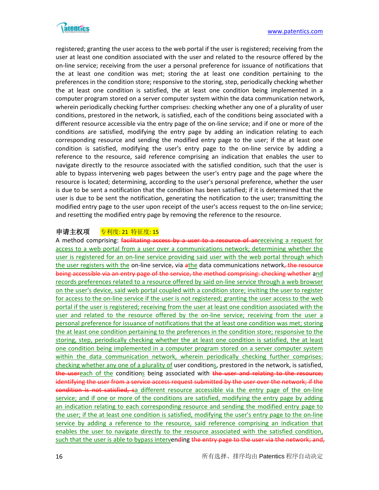

registered; granting the user access to the web portal if the user is registered; receiving from the user at least one condition associated with the user and related to the resource offered by the on-line service; receiving from the user a personal preference for issuance of notifications that the at least one condition was met; storing the at least one condition pertaining to the preferences in the condition store; responsive to the storing, step, periodically checking whether the at least one condition is satisfied, the at least one condition being implemented in a computer program stored on a server computer system within the data communication network, wherein periodically checking further comprises: checking whether any one of a plurality of user conditions, prestored in the network, is satisfied, each of the conditions being associated with a different resource accessible via the entry page of the on-line service; and if one or more of the conditions are satisfied, modifying the entry page by adding an indication relating to each corresponding resource and sending the modified entry page to the user; if the at least one condition is satisfied, modifying the user's entry page to the on-line service by adding a reference to the resource, said reference comprising an indication that enables the user to navigate directly to the resource associated with the satisfied condition, such that the user is able to bypass intervening web pages between the user's entry page and the page where the resource is located; determining, according to the user's personal preference, whether the user is due to be sent a notification that the condition has been satisfied; if it is determined that the user is due to be sent the notification, generating the notification to the user; transmitting the modified entry page to the user upon receipt of the user's access request to the on-line service; and resetting the modified entry page by removing the reference to the resource.

# 申请主权项 专利度: 21 特征度: 15

A method comprising: facilitating access by a user to a resource of anreceiving a request for access to a web portal from a user over a communications network; determining whether the user is registered for an on-line service providing said user with the web portal through which the user registers with the on-line service, via athe data communications network, the resource being accessible via an entry page of the service, the method comprising: checking whether and records preferences related to a resource offered by said on-line service through a web browser on the user's device, said web portal coupled with a condition store; inviting the user to register for access to the on-line service if the user is not registered; granting the user access to the web portal if the user is registered; receiving from the user at least one condition associated with the user and related to the resource offered by the on-line service; receiving from the user a personal preference for issuance of notifications that the at least one condition was met; storing the at least one condition pertaining to the preferences in the condition store; responsive to the storing, step, periodically checking whether the at least one condition is satisfied, the at least one condition being implemented in a computer program stored on a server computer system within the data communication network, wherein periodically checking further comprises: checking whether any one of a plurality of user conditions, prestored in the network, is satisfied, the usereach of the conditions being associated with the user and relating to the resource; identifying the user from a service access request submitted by the user over the network; if the condition is not satisfied, sa different resource accessible via the entry page of the on-line service; and if one or more of the conditions are satisfied, modifying the entry page by adding an indication relating to each corresponding resource and sending the modified entry page to the user; if the at least one condition is satisfied, modifying the user's entry page to the on-line service by adding a reference to the resource, said reference comprising an indication that enables the user to navigate directly to the resource associated with the satisfied condition, such that the user is able to bypass intervending the entry page to the user via the network; and,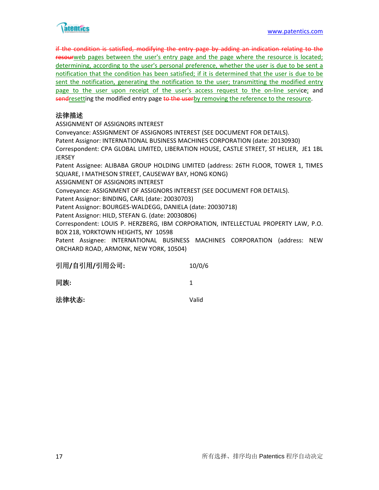

if the condition is satisfied, modifying the entry page by adding an indication relating to the resourweb pages between the user's entry page and the page where the resource is located; determining, according to the user's personal preference, whether the user is due to be sent a notification that the condition has been satisfied; if it is determined that the user is due to be sent the notification, generating the notification to the user; transmitting the modified entry page to the user upon receipt of the user's access request to the on-line service; and sendresetting the modified entry page to the userby removing the reference to the resource.

# 法律描述

ASSIGNMENT OF ASSIGNORS INTEREST Conveyance: ASSIGNMENT OF ASSIGNORS INTEREST (SEE DOCUMENT FOR DETAILS). Patent Assignor: INTERNATIONAL BUSINESS MACHINES CORPORATION (date: 20130930) Correspondent: CPA GLOBAL LIMITED, LIBERATION HOUSE, CASTLE STREET, ST HELIER, JE1 1BL **JERSEY** Patent Assignee: ALIBABA GROUP HOLDING LIMITED (address: 26TH FLOOR, TOWER 1, TIMES SQUARE, I MATHESON STREET, CAUSEWAY BAY, HONG KONG) ASSIGNMENT OF ASSIGNORS INTEREST Conveyance: ASSIGNMENT OF ASSIGNORS INTEREST (SEE DOCUMENT FOR DETAILS). Patent Assignor: BINDING, CARL (date: 20030703) Patent Assignor: BOURGES-WALDEGG, DANIELA (date: 20030718) Patent Assignor: HILD, STEFAN G. (date: 20030806) Correspondent: LOUIS P. HERZBERG, IBM CORPORATION, INTELLECTUAL PROPERTY LAW, P.O. BOX 218, YORKTOWN HEIGHTS, NY 10598 Patent Assignee: INTERNATIONAL BUSINESS MACHINES CORPORATION (address: NEW ORCHARD ROAD, ARMONK, NEW YORK, 10504)

| 引用/自引用/引用公司: | 10/0/6 |
|--------------|--------|
|              |        |

同族**:** 1

法律状态**:** Valid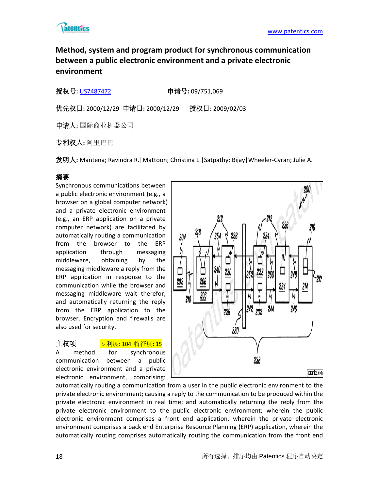

# **Method, system and program product for synchronous communication between a public electronic environment and a private electronic environment**

# 授权号**:** [US7487472](http://113.31.18.23/invokexml.do?sf=ShowPatent&spn=7487472&sv=5d9674762886127d73b86ed6febe8e10) 申请号**:** 09/751,069

优先权日**:** 2000/12/29 申请日**:** 2000/12/29 授权日**:** 2009/02/03

申请人**:** 国际商业机器公司

专利权人**:** 阿里巴巴

发明人**:** Mantena; Ravindra R.|Mattoon; Christina L.|Satpathy; Bijay|Wheeler-Cyran; Julie A.

# 摘要

Synchronous communications between a public electronic environment (e.g., a browser on a global computer network) and a private electronic environment (e.g., an ERP application on a private computer network) are facilitated by automatically routing a communication from the browser to the ERP application through messaging middleware, obtaining by the messaging middleware a reply from the ERP application in response to the communication while the browser and messaging middleware wait therefor, and automatically returning the reply from the ERP application to the browser. Encryption and firewalls are also used for security.

# 主权项 <mark>专利度: 104 特征度: 15</mark>

A method for synchronous communication between a public electronic environment and a private electronic environment, comprising:



automatically routing a communication from a user in the public electronic environment to the private electronic environment; causing a reply to the communication to be produced within the private electronic environment in real time; and automatically returning the reply from the private electronic environment to the public electronic environment; wherein the public electronic environment comprises a front end application, wherein the private electronic environment comprises a back end Enterprise Resource Planning (ERP) application, wherein the automatically routing comprises automatically routing the communication from the front end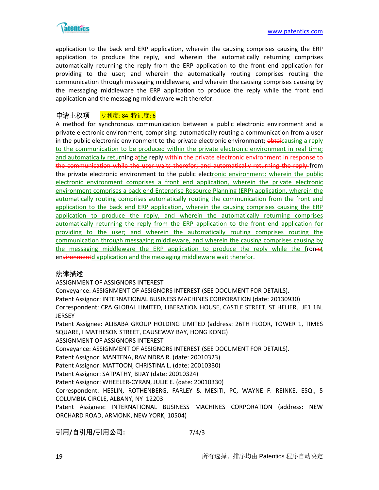

application to the back end ERP application, wherein the causing comprises causing the ERP application to produce the reply, and wherein the automatically returning comprises automatically returning the reply from the ERP application to the front end application for providing to the user; and wherein the automatically routing comprises routing the communication through messaging middleware, and wherein the causing comprises causing by the messaging middleware the ERP application to produce the reply while the front end application and the messaging middleware wait therefor.

# 申请主权项 <u>专利度: 84 特征度: 6</u>

A method for synchronous communication between a public electronic environment and a private electronic environment, comprising: automatically routing a communication from a user in the public electronic environment to the private electronic environment; obtaicausing a reply to the communication to be produced within the private electronic environment in real time; and automatically returning athe reply within the private electronic environment in response to the communication while the user waits therefor; and automatically returning the reply from the private electronic environment to the public electronic environment; wherein the public electronic environment comprises a front end application, wherein the private electronic environment comprises a back end Enterprise Resource Planning (ERP) application, wherein the automatically routing comprises automatically routing the communication from the front end application to the back end ERP application, wherein the causing comprises causing the ERP application to produce the reply, and wherein the automatically returning comprises automatically returning the reply from the ERP application to the front end application for providing to the user; and wherein the automatically routing comprises routing the communication through messaging middleware, and wherein the causing comprises causing by the messaging middleware the ERP application to produce the reply while the froniet environmentd application and the messaging middleware wait therefor.

# 法律描述

ASSIGNMENT OF ASSIGNORS INTEREST

Conveyance: ASSIGNMENT OF ASSIGNORS INTEREST (SEE DOCUMENT FOR DETAILS). Patent Assignor: INTERNATIONAL BUSINESS MACHINES CORPORATION (date: 20130930) Correspondent: CPA GLOBAL LIMITED, LIBERATION HOUSE, CASTLE STREET, ST HELIER, JE1 1BL **JERSEY** 

Patent Assignee: ALIBABA GROUP HOLDING LIMITED (address: 26TH FLOOR, TOWER 1, TIMES SQUARE, I MATHESON STREET, CAUSEWAY BAY, HONG KONG)

ASSIGNMENT OF ASSIGNORS INTEREST

Conveyance: ASSIGNMENT OF ASSIGNORS INTEREST (SEE DOCUMENT FOR DETAILS).

Patent Assignor: MANTENA, RAVINDRA R. (date: 20010323)

Patent Assignor: MATTOON, CHRISTINA L. (date: 20010330)

Patent Assignor: SATPATHY, BIJAY (date: 20010324)

Patent Assignor: WHEELER-CYRAN, JULIE E. (date: 20010330)

Correspondent: HESLIN, ROTHENBERG, FARLEY & MESITI, PC, WAYNE F. REINKE, ESQ., 5 COLUMBIA CIRCLE, ALBANY, NY 12203

Patent Assignee: INTERNATIONAL BUSINESS MACHINES CORPORATION (address: NEW ORCHARD ROAD, ARMONK, NEW YORK, 10504)

# 引用**/**自引用**/**引用公司**:** 7/4/3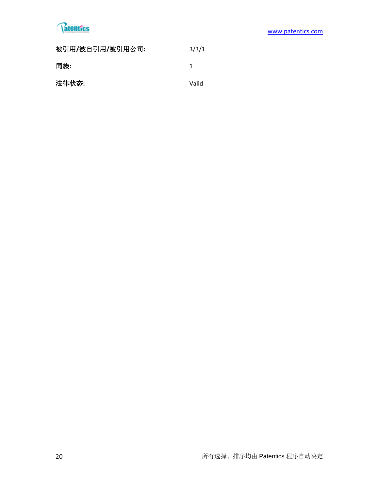# **Tatentics**

| 被引用/被自引用/被引用公司: | 3/3/1 |
|-----------------|-------|
| 同族:             | 1     |
| 法律状态:           | Valid |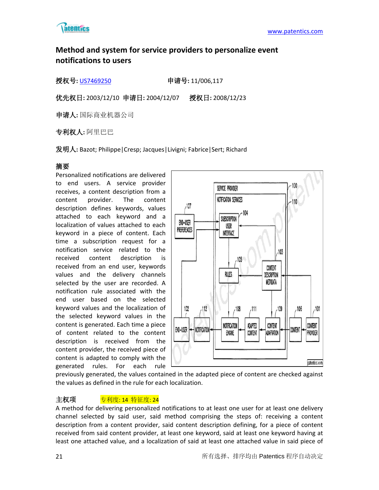

# **Method and system for service providers to personalize event notifications to users**

授权号**:** [US7469250](http://113.31.18.23/invokexml.do?sf=ShowPatent&spn=7469250&sv=59d8405e08ae8f886c95d8af38fd764d) 申请号**:** 11/006,117

优先权日**:** 2003/12/10 申请日**:** 2004/12/07 授权日**:** 2008/12/23

申请人**:** 国际商业机器公司

专利权人**:** 阿里巴巴

发明人**:** Bazot; Philippe|Cresp; Jacques|Livigni; Fabrice|Sert; Richard

# 摘要

Personalized notifications are delivered to end users. A service provider receives, a content description from a content provider. The content description defines keywords, values attached to each keyword and a localization of values attached to each keyword in a piece of content. Each time a subscription request for a notification service related to the received content description is received from an end user, keywords values and the delivery channels selected by the user are recorded. A notification rule associated with the end user based on the selected keyword values and the localization of the selected keyword values in the content is generated. Each time a piece of content related to the content description is received from the content provider, the received piece of content is adapted to comply with the generated rules. For each rule



previously generated, the values contained in the adapted piece of content are checked against the values as defined in the rule for each localization.

# 主权项 **专利度: 14 特征度: 24**

A method for delivering personalized notifications to at least one user for at least one delivery channel selected by said user, said method comprising the steps of: receiving a content description from a content provider, said content description defining, for a piece of content received from said content provider, at least one keyword, said at least one keyword having at least one attached value, and a localization of said at least one attached value in said piece of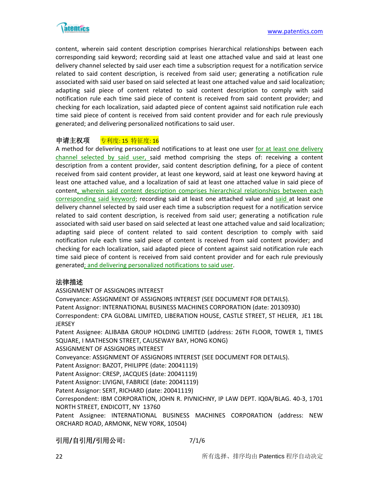

content, wherein said content description comprises hierarchical relationships between each corresponding said keyword; recording said at least one attached value and said at least one delivery channel selected by said user each time a subscription request for a notification service related to said content description, is received from said user; generating a notification rule associated with said user based on said selected at least one attached value and said localization; adapting said piece of content related to said content description to comply with said notification rule each time said piece of content is received from said content provider; and checking for each localization, said adapted piece of content against said notification rule each time said piece of content is received from said content provider and for each rule previously generated; and delivering personalized notifications to said user.

# 申请主权项 <u>专利度: 15 特征度: 16</u>

A method for delivering personalized notifications to at least one user for at least one delivery channel selected by said user, said method comprising the steps of: receiving a content description from a content provider, said content description defining, for a piece of content received from said content provider, at least one keyword, said at least one keyword having at least one attached value, and a localization of said at least one attached value in said piece of content, wherein said content description comprises hierarchical relationships between each corresponding said keyword; recording said at least one attached value and said at least one delivery channel selected by said user each time a subscription request for a notification service related to said content description, is received from said user; generating a notification rule associated with said user based on said selected at least one attached value and said localization; adapting said piece of content related to said content description to comply with said notification rule each time said piece of content is received from said content provider; and checking for each localization, said adapted piece of content against said notification rule each time said piece of content is received from said content provider and for each rule previously generated; and delivering personalized notifications to said user.

# 法律描述

ASSIGNMENT OF ASSIGNORS INTEREST

Conveyance: ASSIGNMENT OF ASSIGNORS INTEREST (SEE DOCUMENT FOR DETAILS). Patent Assignor: INTERNATIONAL BUSINESS MACHINES CORPORATION (date: 20130930) Correspondent: CPA GLOBAL LIMITED, LIBERATION HOUSE, CASTLE STREET, ST HELIER, JE1 1BL JERSEY

Patent Assignee: ALIBABA GROUP HOLDING LIMITED (address: 26TH FLOOR, TOWER 1, TIMES SQUARE, I MATHESON STREET, CAUSEWAY BAY, HONG KONG)

ASSIGNMENT OF ASSIGNORS INTEREST

Conveyance: ASSIGNMENT OF ASSIGNORS INTEREST (SEE DOCUMENT FOR DETAILS).

Patent Assignor: BAZOT, PHILIPPE (date: 20041119)

Patent Assignor: CRESP, JACQUES (date: 20041119)

Patent Assignor: LIVIGNI, FABRICE (date: 20041119)

Patent Assignor: SERT, RICHARD (date: 20041119)

Correspondent: IBM CORPORATION, JOHN R. PIVNICHNY, IP LAW DEPT. IQ0A/BLAG. 40-3, 1701 NORTH STREET, ENDICOTT, NY 13760

Patent Assignee: INTERNATIONAL BUSINESS MACHINES CORPORATION (address: NEW ORCHARD ROAD, ARMONK, NEW YORK, 10504)

# 引用**/**自引用**/**引用公司**:** 7/1/6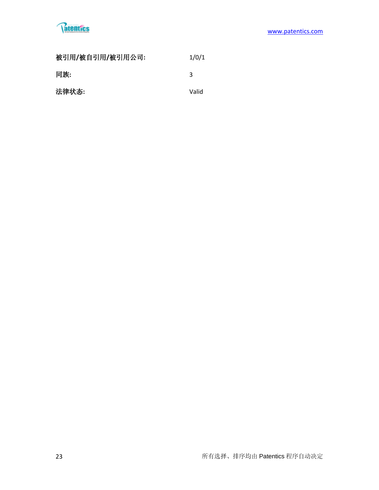

| 被引用/被自引用/被引用公司: | 1/0/1 |
|-----------------|-------|
| 同族:             | ર     |
| 法律状态:           | Valid |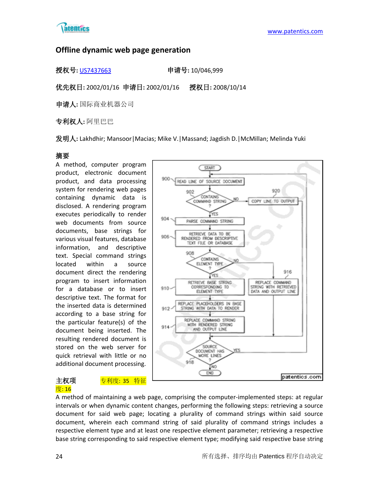

# **Offline dynamic web page generation**

授权号**:** [US7437663](http://113.31.18.23/invokexml.do?sf=ShowPatent&spn=7437663&sv=cbf35bbee1aaff35ad43ae9b75bfd12f) 申请号**:** 10/046,999

优先权日**:** 2002/01/16 申请日**:** 2002/01/16 授权日**:** 2008/10/14

申请人**:** 国际商业机器公司

专利权人**:** 阿里巴巴

发明人**:** Lakhdhir; Mansoor|Macias; Mike V.|Massand; Jagdish D.|McMillan; Melinda Yuki

# 摘要

A method, computer program product, electronic document product, and data processing system for rendering web pages containing dynamic data is disclosed. A rendering program executes periodically to render web documents from source documents, base strings for various visual features, database information, and descriptive text. Special command strings located within a source document direct the rendering program to insert information for a database or to insert descriptive text. The format for the inserted data is determined according to a base string for the particular feature(s) of the document being inserted. The resulting rendered document is stored on the web server for quick retrieval with little or no additional document processing.

# 度: 16

主权项 <mark>专利度: 35 特征</mark>



A method of maintaining a web page, comprising the computer-implemented steps: at regular intervals or when dynamic content changes, performing the following steps: retrieving a source document for said web page; locating a plurality of command strings within said source document, wherein each command string of said plurality of command strings includes a respective element type and at least one respective element parameter; retrieving a respective base string corresponding to said respective element type; modifying said respective base string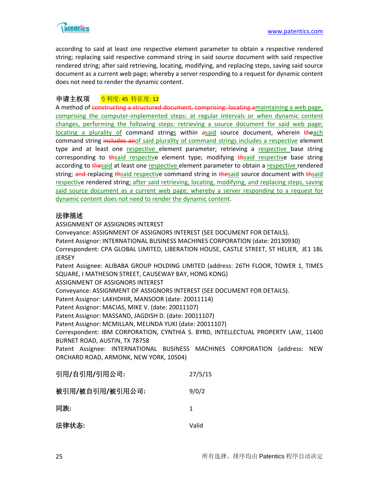

according to said at least one respective element parameter to obtain a respective rendered string; replacing said respective command string in said source document with said respective rendered string; after said retrieving, locating, modifying, and replacing steps, saving said source document as a current web page; whereby a server responding to a request for dynamic content does not need to render the dynamic content.

# 申请主权项 专利度: 45 特征度: 12

A method of constructing a structured document, comprising: locating amaintaining a web page, comprising the computer-implemented steps: at regular intervals or when dynamic content changes, performing the following steps: retrieving a source document for said web page; locating a plurality of command strings within asaid source document, wherein theach command string includes anof said plurality of command strings includes a respective element type and at least one respective element parameter; retrieving a respective base string corresponding to thsaid respective element type; modifying thsaid respective base string according to thesaid at least one respective element parameter to obtain a respective rendered string; and replacing thesaid respective command string in thesaid source document with thesaid respective rendered string; after said retrieving, locating, modifying, and replacing steps, saving said source document as a current web page; whereby a server responding to a request for dynamic content does not need to render the dynamic content.

# 法律描述

ASSIGNMENT OF ASSIGNORS INTEREST Conveyance: ASSIGNMENT OF ASSIGNORS INTEREST (SEE DOCUMENT FOR DETAILS). Patent Assignor: INTERNATIONAL BUSINESS MACHINES CORPORATION (date: 20130930) Correspondent: CPA GLOBAL LIMITED, LIBERATION HOUSE, CASTLE STREET, ST HELIER, JE1 1BL **JERSEY** Patent Assignee: ALIBABA GROUP HOLDING LIMITED (address: 26TH FLOOR, TOWER 1, TIMES SQUARE, I MATHESON STREET, CAUSEWAY BAY, HONG KONG) ASSIGNMENT OF ASSIGNORS INTEREST Conveyance: ASSIGNMENT OF ASSIGNORS INTEREST (SEE DOCUMENT FOR DETAILS). Patent Assignor: LAKHDHIR, MANSOOR (date: 20011114) Patent Assignor: MACIAS, MIKE V. (date: 20011107) Patent Assignor: MASSAND, JAGDISH D. (date: 20011107) Patent Assignor: MCMILLAN, MELINDA YUKI (date: 20011107) Correspondent: IBM CORPORATION, CYNTHIA S. BYRD, INTELLECTUAL PROPERTY LAW, 11400 BURNET ROAD, AUSTIN, TX 78758 Patent Assignee: INTERNATIONAL BUSINESS MACHINES CORPORATION (address: NEW ORCHARD ROAD, ARMONK, NEW YORK, 10504) 引用**/**自引用**/**引用公司**:** 27/5/15 被引用**/**被自引用**/**被引用公司**:** 9/0/2 同族**:** 1 法律状态**:** Valid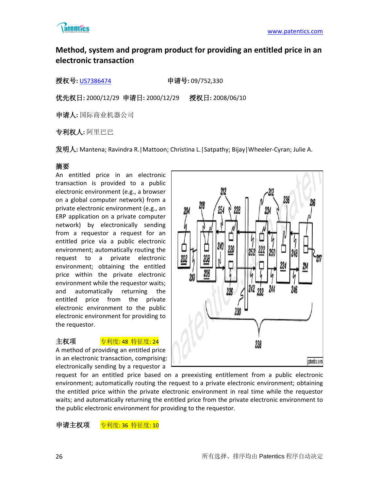

# **Method, system and program product for providing an entitled price in an electronic transaction**

授权号**:** [US7386474](http://113.31.18.23/invokexml.do?sf=ShowPatent&spn=7386474&sv=5e7b1785565b7c03808ee226b810efb6) 申请号**:** 09/752,330

优先权日**:** 2000/12/29 申请日**:** 2000/12/29 授权日**:** 2008/06/10

申请人**:** 国际商业机器公司

专利权人**:** 阿里巴巴

发明人**:** Mantena; Ravindra R.|Mattoon; Christina L.|Satpathy; Bijay|Wheeler-Cyran; Julie A.

# 摘要

An entitled price in an electronic transaction is provided to a public electronic environment (e.g., a browser on a global computer network) from a private electronic environment (e.g., an ERP application on a private computer network) by electronically sending from a requestor a request for an entitled price via a public electronic environment; automatically routing the request to a private electronic environment; obtaining the entitled price within the private electronic environment while the requestor waits; and automatically returning the entitled price from the private electronic environment to the public electronic environment for providing to the requestor.

### 主权项 <mark>专利度: 48 特征度: 24</mark>

A method of providing an entitled price in an electronic transaction, comprising: electronically sending by a requestor a



request for an entitled price based on a preexisting entitlement from a public electronic environment; automatically routing the request to a private electronic environment; obtaining the entitled price within the private electronic environment in real time while the requestor waits; and automatically returning the entitled price from the private electronic environment to the public electronic environment for providing to the requestor.

申请主权项 专利度: 36 特征度: 10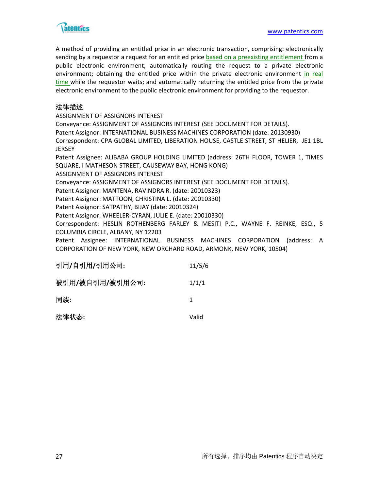

A method of providing an entitled price in an electronic transaction, comprising: electronically sending by a requestor a request for an entitled price based on a preexisting entitlement from a public electronic environment; automatically routing the request to a private electronic environment; obtaining the entitled price within the private electronic environment in real time while the requestor waits; and automatically returning the entitled price from the private electronic environment to the public electronic environment for providing to the requestor.

# 法律描述

ASSIGNMENT OF ASSIGNORS INTEREST Conveyance: ASSIGNMENT OF ASSIGNORS INTEREST (SEE DOCUMENT FOR DETAILS). Patent Assignor: INTERNATIONAL BUSINESS MACHINES CORPORATION (date: 20130930) Correspondent: CPA GLOBAL LIMITED, LIBERATION HOUSE, CASTLE STREET, ST HELIER, JE1 1BL **JERSEY** Patent Assignee: ALIBABA GROUP HOLDING LIMITED (address: 26TH FLOOR, TOWER 1, TIMES SQUARE, I MATHESON STREET, CAUSEWAY BAY, HONG KONG) ASSIGNMENT OF ASSIGNORS INTEREST Conveyance: ASSIGNMENT OF ASSIGNORS INTEREST (SEE DOCUMENT FOR DETAILS). Patent Assignor: MANTENA, RAVINDRA R. (date: 20010323) Patent Assignor: MATTOON, CHRISTINA L. (date: 20010330) Patent Assignor: SATPATHY, BIJAY (date: 20010324) Patent Assignor: WHEELER-CYRAN, JULIE E. (date: 20010330) Correspondent: HESLIN ROTHENBERG FARLEY & MESITI P.C., WAYNE F. REINKE, ESQ., 5 COLUMBIA CIRCLE, ALBANY, NY 12203 Patent Assignee: INTERNATIONAL BUSINESS MACHINES CORPORATION (address: A CORPORATION OF NEW YORK, NEW ORCHARD ROAD, ARMONK, NEW YORK, 10504)

| 引用/自引用/引用公司:    | 11/5/6 |
|-----------------|--------|
| 被引用/被自引用/被引用公司: | 1/1/1  |
| 同族:             | 1      |
| 法律状态:           | Valid  |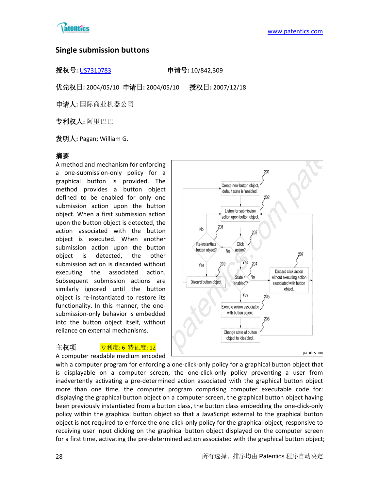

# **Single submission buttons**

授权号**:** [US7310783](http://113.31.18.23/invokexml.do?sf=ShowPatent&spn=7310783&sv=2d6336720e128e24aa5b7eb2870c0f7e) 申请号**:** 10/842,309

优先权日**:** 2004/05/10 申请日**:** 2004/05/10 授权日**:** 2007/12/18

申请人**:** 国际商业机器公司

专利权人**:** 阿里巴巴

发明人**:** Pagan; William G.

# 摘要

A method and mechanism for enforcing a one-submission-only policy for a graphical button is provided. The method provides a button object defined to be enabled for only one submission action upon the button object. When a first submission action upon the button object is detected, the action associated with the button object is executed. When another submission action upon the button object is detected, the other submission action is discarded without executing the associated action. Subsequent submission actions are similarly ignored until the button object is re-instantiated to restore its functionality. In this manner, the onesubmission-only behavior is embedded into the button object itself, without reliance on external mechanisms.



#### 主权项 **专利度: 6 特征度: 12**

A computer readable medium encoded



with a computer program for enforcing a one-click-only policy for a graphical button object that is displayable on a computer screen, the one-click-only policy preventing a user from inadvertently activating a pre-determined action associated with the graphical button object more than one time, the computer program comprising computer executable code for: displaying the graphical button object on a computer screen, the graphical button object having been previously instantiated from a button class, the button class embedding the one-click-only policy within the graphical button object so that a JavaScript external to the graphical button object is not required to enforce the one-click-only policy for the graphical object; responsive to receiving user input clicking on the graphical button object displayed on the computer screen for a first time, activating the pre-determined action associated with the graphical button object;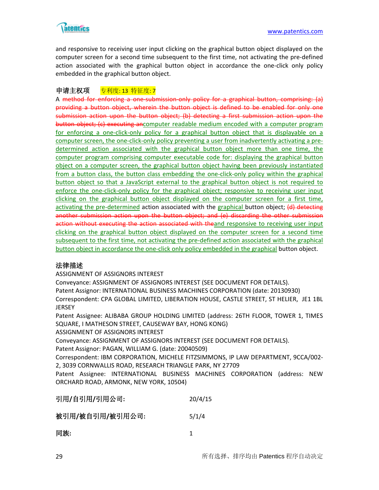

and responsive to receiving user input clicking on the graphical button object displayed on the computer screen for a second time subsequent to the first time, not activating the pre-defined action associated with the graphical button object in accordance the one-click only policy embedded in the graphical button object.

# 申请主权项 <mark>专利度: 13 特征度: 7</mark>

A method for enforcing a one-submission-only policy for a graphical button, comprising: (a) providing a button object, wherein the button object is defined to be enabled for only one submission action upon the button object; (b) detecting a first submission action upon the button object; (c) executing ancomputer readable medium encoded with a computer program for enforcing a one-click-only policy for a graphical button object that is displayable on a computer screen, the one-click-only policy preventing a user from inadvertently activating a predetermined action associated with the graphical button object more than one time, the computer program comprising computer executable code for: displaying the graphical button object on a computer screen, the graphical button object having been previously instantiated from a button class, the button class embedding the one-click-only policy within the graphical button object so that a JavaScript external to the graphical button object is not required to enforce the one-click-only policy for the graphical object; responsive to receiving user input clicking on the graphical button object displayed on the computer screen for a first time, activating the pre-determined action associated with the graphical button object; (d) detecting another submission action upon the button object; and (e) discarding the other submission action without executing the action associated with theand responsive to receiving user input clicking on the graphical button object displayed on the computer screen for a second time subsequent to the first time, not activating the pre-defined action associated with the graphical button object in accordance the one-click only policy embedded in the graphical button object.

### 法律描述

ASSIGNMENT OF ASSIGNORS INTEREST

Conveyance: ASSIGNMENT OF ASSIGNORS INTEREST (SEE DOCUMENT FOR DETAILS). Patent Assignor: INTERNATIONAL BUSINESS MACHINES CORPORATION (date: 20130930) Correspondent: CPA GLOBAL LIMITED, LIBERATION HOUSE, CASTLE STREET, ST HELIER, JE1 1BL

**JERSEY** 

Patent Assignee: ALIBABA GROUP HOLDING LIMITED (address: 26TH FLOOR, TOWER 1, TIMES SQUARE, I MATHESON STREET, CAUSEWAY BAY, HONG KONG)

ASSIGNMENT OF ASSIGNORS INTEREST

Conveyance: ASSIGNMENT OF ASSIGNORS INTEREST (SEE DOCUMENT FOR DETAILS).

Patent Assignor: PAGAN, WILLIAM G. (date: 20040509)

Correspondent: IBM CORPORATION, MICHELE FITZSIMMONS, IP LAW DEPARTMENT, 9CCA/002- 2, 3039 CORNWALLIS ROAD, RESEARCH TRIANGLE PARK, NY 27709

Patent Assignee: INTERNATIONAL BUSINESS MACHINES CORPORATION (address: NEW ORCHARD ROAD, ARMONK, NEW YORK, 10504)

| 引用/自引用/引用公司: | 20/4/15 |
|--------------|---------|
|              |         |

被引用**/**被自引用**/**被引用公司**:** 5/1/4

同族**:** 1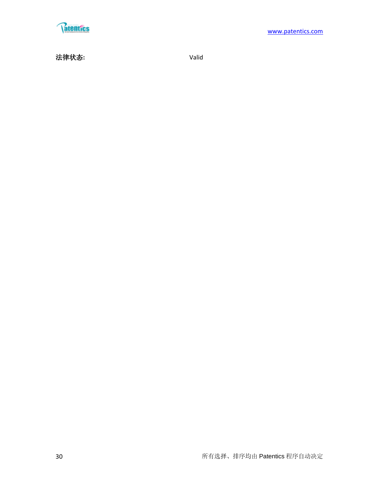

法律状态**:** Valid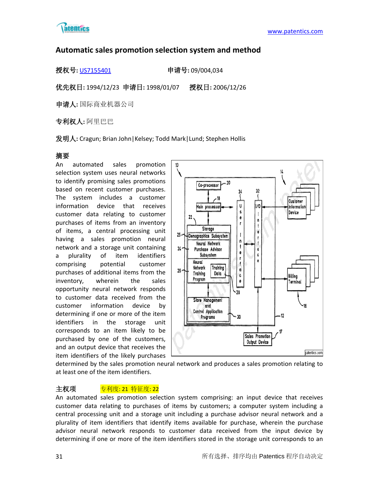

# **Automatic sales promotion selection system and method**

授权号**:** [US7155401](http://113.31.18.23/invokexml.do?sf=ShowPatent&spn=7155401&sv=2258aa7727428e4e1d64210c2d96b184) 申请号**:** 09/004,034

优先权日**:** 1994/12/23 申请日**:** 1998/01/07 授权日**:** 2006/12/26

申请人**:** 国际商业机器公司

专利权人**:** 阿里巴巴

发明人**:** Cragun; Brian John|Kelsey; Todd Mark|Lund; Stephen Hollis

# 摘要

An automated sales promotion selection system uses neural networks to identify promising sales promotions based on recent customer purchases. The system includes a customer information device that receives customer data relating to customer purchases of items from an inventory of items, a central processing unit having a sales promotion neural network and a storage unit containing a plurality of item identifiers comprising potential customer purchases of additional items from the inventory, wherein the sales opportunity neural network responds to customer data received from the customer information device by determining if one or more of the item identifiers in the storage unit corresponds to an item likely to be purchased by one of the customers, and an output device that receives the item identifiers of the likely purchases



determined by the sales promotion neural network and produces a sales promotion relating to at least one of the item identifiers.

# 主权项 **专利度: 21 特征度: 22**

An automated sales promotion selection system comprising: an input device that receives customer data relating to purchases of items by customers; a computer system including a central processing unit and a storage unit including a purchase advisor neural network and a plurality of item identifiers that identify items available for purchase, wherein the purchase advisor neural network responds to customer data received from the input device by determining if one or more of the item identifiers stored in the storage unit corresponds to an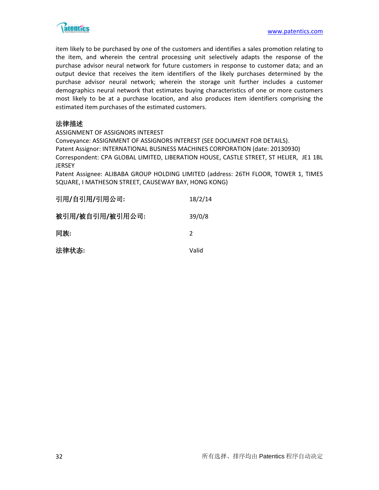

item likely to be purchased by one of the customers and identifies a sales promotion relating to the item, and wherein the central processing unit selectively adapts the response of the purchase advisor neural network for future customers in response to customer data; and an output device that receives the item identifiers of the likely purchases determined by the purchase advisor neural network; wherein the storage unit further includes a customer demographics neural network that estimates buying characteristics of one or more customers most likely to be at a purchase location, and also produces item identifiers comprising the estimated item purchases of the estimated customers.

# 法律描述

ASSIGNMENT OF ASSIGNORS INTEREST

Conveyance: ASSIGNMENT OF ASSIGNORS INTEREST (SEE DOCUMENT FOR DETAILS). Patent Assignor: INTERNATIONAL BUSINESS MACHINES CORPORATION (date: 20130930) Correspondent: CPA GLOBAL LIMITED, LIBERATION HOUSE, CASTLE STREET, ST HELIER, JE1 1BL JERSEY

Patent Assignee: ALIBABA GROUP HOLDING LIMITED (address: 26TH FLOOR, TOWER 1, TIMES SQUARE, I MATHESON STREET, CAUSEWAY BAY, HONG KONG)

| 引用/自引用/引用公司:    | 18/2/14 |
|-----------------|---------|
| 被引用/被自引用/被引用公司: | 39/0/8  |
| 同族:             | 2       |
| 法律状态:           | Valid   |
|                 |         |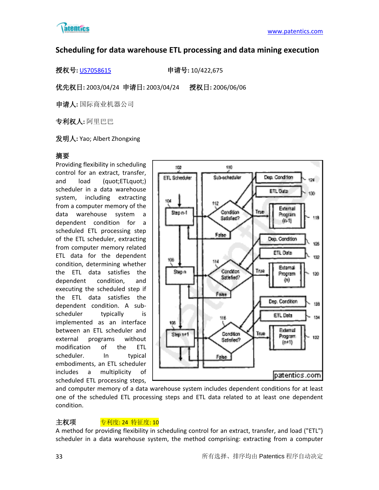

# **Scheduling for data warehouse ETL processing and data mining execution**

授权号**:** [US7058615](http://113.31.18.23/invokexml.do?sf=ShowPatent&spn=7058615&sv=10b40d18ca1cf749fc19fb5908385131) 申请号**:** 10/422,675

优先权日**:** 2003/04/24 申请日**:** 2003/04/24 授权日**:** 2006/06/06

申请人**:** 国际商业机器公司

专利权人**:** 阿里巴巴

发明人**:** Yao; Albert Zhongxing

# 摘要

Providing flexibility in scheduling control for an extract, transfer, and load (quot;ETLquot;) scheduler in a data warehouse system, including extracting from a computer memory of the data warehouse system a dependent condition for a scheduled ETL processing step of the ETL scheduler, extracting from computer memory related ETL data for the dependent condition, determining whether the ETL data satisfies the dependent condition, and executing the scheduled step if the ETL data satisfies the dependent condition. A subscheduler typically is implemented as an interface between an ETL scheduler and external programs without modification of the ETL scheduler. In typical embodiments, an ETL scheduler includes a multiplicity of scheduled ETL processing steps,



and computer memory of a data warehouse system includes dependent conditions for at least one of the scheduled ETL processing steps and ETL data related to at least one dependent condition.

# 主权项 <mark>专利度: 24 特征度: 10</mark>

A method for providing flexibility in scheduling control for an extract, transfer, and load ("ETL") scheduler in a data warehouse system, the method comprising: extracting from a computer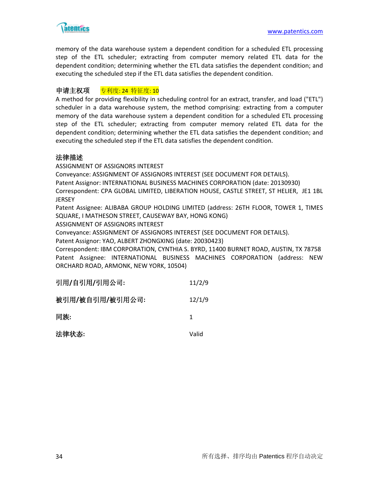

memory of the data warehouse system a dependent condition for a scheduled ETL processing step of the ETL scheduler; extracting from computer memory related ETL data for the dependent condition; determining whether the ETL data satisfies the dependent condition; and executing the scheduled step if the ETL data satisfies the dependent condition.

# 申请主权项 专利度: 24 特征度: 10

A method for providing flexibility in scheduling control for an extract, transfer, and load ("ETL") scheduler in a data warehouse system, the method comprising: extracting from a computer memory of the data warehouse system a dependent condition for a scheduled ETL processing step of the ETL scheduler; extracting from computer memory related ETL data for the dependent condition; determining whether the ETL data satisfies the dependent condition; and executing the scheduled step if the ETL data satisfies the dependent condition.

# 法律描述

ASSIGNMENT OF ASSIGNORS INTEREST

Conveyance: ASSIGNMENT OF ASSIGNORS INTEREST (SEE DOCUMENT FOR DETAILS).

Patent Assignor: INTERNATIONAL BUSINESS MACHINES CORPORATION (date: 20130930)

Correspondent: CPA GLOBAL LIMITED, LIBERATION HOUSE, CASTLE STREET, ST HELIER, JE1 1BL **JERSEY** 

Patent Assignee: ALIBABA GROUP HOLDING LIMITED (address: 26TH FLOOR, TOWER 1, TIMES SQUARE, I MATHESON STREET, CAUSEWAY BAY, HONG KONG)

ASSIGNMENT OF ASSIGNORS INTEREST

Conveyance: ASSIGNMENT OF ASSIGNORS INTEREST (SEE DOCUMENT FOR DETAILS).

Patent Assignor: YAO, ALBERT ZHONGXING (date: 20030423)

Correspondent: IBM CORPORATION, CYNTHIA S. BYRD, 11400 BURNET ROAD, AUSTIN, TX 78758 Patent Assignee: INTERNATIONAL BUSINESS MACHINES CORPORATION (address: NEW ORCHARD ROAD, ARMONK, NEW YORK, 10504)

| 引用/自引用/引用公司:    | 11/2/9 |
|-----------------|--------|
| 被引用/被自引用/被引用公司: | 12/1/9 |
| 同族:             | 1      |
| 法律状态:           | Valid  |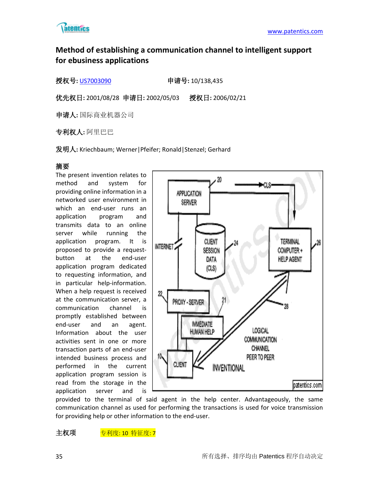

# **Method of establishing a communication channel to intelligent support for ebusiness applications**

授权号**:** [US7003090](http://113.31.18.23/invokexml.do?sf=ShowPatent&spn=7003090&sv=2d810cbed166f24718a71f1ba0b0edf1) 申请号**:** 10/138,435

优先权日**:** 2001/08/28 申请日**:** 2002/05/03 授权日**:** 2006/02/21

申请人**:** 国际商业机器公司

专利权人**:** 阿里巴巴

发明人**:** Kriechbaum; Werner|Pfeifer; Ronald|Stenzel; Gerhard

# 摘要

The present invention relates to method and system for providing online information in a networked user environment in which an end-user runs an application program and transmits data to an online server while running the application program. It is proposed to provide a requestbutton at the end-user application program dedicated to requesting information, and in particular help-information. When a help request is received at the communication server, a communication channel is promptly established between end-user and an agent. Information about the user activities sent in one or more transaction parts of an end-user intended business process and performed in the current application program session is read from the storage in the application server and is



provided to the terminal of said agent in the help center. Advantageously, the same communication channel as used for performing the transactions is used for voice transmission for providing help or other information to the end-user.

主权项 专利度: 10 特征度: 7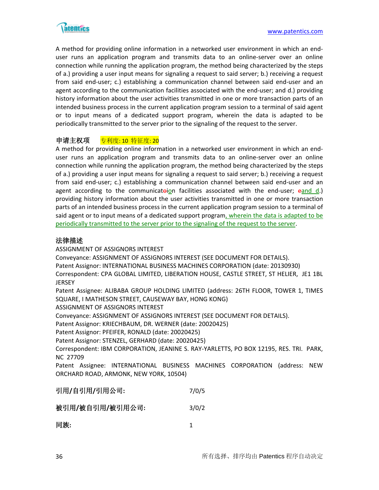

A method for providing online information in a networked user environment in which an enduser runs an application program and transmits data to an online-server over an online connection while running the application program, the method being characterized by the steps of a.) providing a user input means for signaling a request to said server; b.) receiving a request from said end-user; c.) establishing a communication channel between said end-user and an agent according to the communication facilities associated with the end-user; and d.) providing history information about the user activities transmitted in one or more transaction parts of an intended business process in the current application program session to a terminal of said agent or to input means of a dedicated support program, wherein the data is adapted to be periodically transmitted to the server prior to the signaling of the request to the server.

# 申请主权项 专利度: 10 特征度: 20

A method for providing online information in a networked user environment in which an enduser runs an application program and transmits data to an online-server over an online connection while running the application program, the method being characterized by the steps of a.) providing a user input means for signaling a request to said server; b.) receiving a request from said end-user; c.) establishing a communication channel between said end-user and an agent according to the communicatoion facilities associated with the end-user; eand d.) providing history information about the user activities transmitted in one or more transaction parts of an intended business process in the current application program session to a terminal of said agent or to input means of a dedicated support program, wherein the data is adapted to be periodically transmitted to the server prior to the signaling of the request to the server.

# 法律描述

ASSIGNMENT OF ASSIGNORS INTEREST

Conveyance: ASSIGNMENT OF ASSIGNORS INTEREST (SEE DOCUMENT FOR DETAILS).

Patent Assignor: INTERNATIONAL BUSINESS MACHINES CORPORATION (date: 20130930)

Correspondent: CPA GLOBAL LIMITED, LIBERATION HOUSE, CASTLE STREET, ST HELIER, JE1 1BL **JERSEY** 

Patent Assignee: ALIBABA GROUP HOLDING LIMITED (address: 26TH FLOOR, TOWER 1, TIMES SQUARE, I MATHESON STREET, CAUSEWAY BAY, HONG KONG)

ASSIGNMENT OF ASSIGNORS INTEREST

Conveyance: ASSIGNMENT OF ASSIGNORS INTEREST (SEE DOCUMENT FOR DETAILS).

Patent Assignor: KRIECHBAUM, DR. WERNER (date: 20020425)

Patent Assignor: PFEIFER, RONALD (date: 20020425)

Patent Assignor: STENZEL, GERHARD (date: 20020425)

Correspondent: IBM CORPORATION, JEANINE S. RAY-YARLETTS, PO BOX 12195, RES. TRI. PARK, NC 27709

Patent Assignee: INTERNATIONAL BUSINESS MACHINES CORPORATION (address: NEW ORCHARD ROAD, ARMONK, NEW YORK, 10504)

| 引用/自引用/引用公司: | 7/0/5 |
|--------------|-------|
|              |       |

| 被引用/被自引用/被引用公司:<br>3/0/2 |  |
|--------------------------|--|
|--------------------------|--|

| 同族: |  |
|-----|--|
|     |  |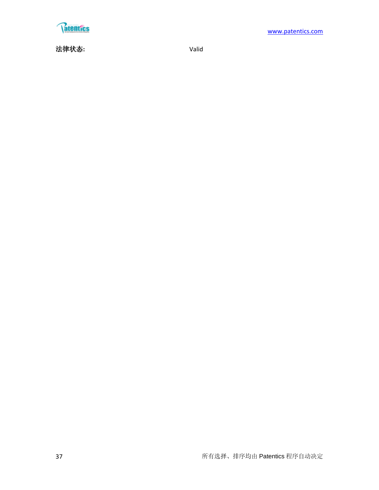

法律状态**:** Valid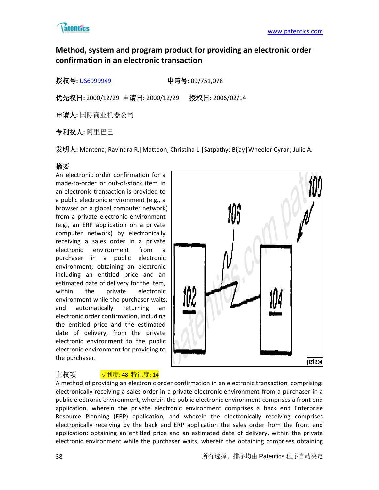

# **Method, system and program product for providing an electronic order confirmation in an electronic transaction**

授权号**:** [US6999949](http://113.31.18.23/invokexml.do?sf=ShowPatent&spn=6999949&sv=07df41033c4b93b3474d5a053597c840) 申请号**:** 09/751,078

优先权日**:** 2000/12/29 申请日**:** 2000/12/29 授权日**:** 2006/02/14

申请人**:** 国际商业机器公司

专利权人**:** 阿里巴巴

发明人**:** Mantena; Ravindra R.|Mattoon; Christina L.|Satpathy; Bijay|Wheeler-Cyran; Julie A.

# 摘要

An electronic order confirmation for a made-to-order or out-of-stock item in an electronic transaction is provided to a public electronic environment (e.g., a browser on a global computer network) from a private electronic environment (e.g., an ERP application on a private computer network) by electronically receiving a sales order in a private electronic environment from a purchaser in a public electronic environment; obtaining an electronic including an entitled price and an estimated date of delivery for the item, within the private electronic environment while the purchaser waits; and automatically returning an electronic order confirmation, including the entitled price and the estimated date of delivery, from the private electronic environment to the public electronic environment for providing to the purchaser.



# 主权项 <mark>专利度: 48 特征度: 14</mark>

A method of providing an electronic order confirmation in an electronic transaction, comprising: electronically receiving a sales order in a private electronic environment from a purchaser in a public electronic environment, wherein the public electronic environment comprises a front end application, wherein the private electronic environment comprises a back end Enterprise Resource Planning (ERP) application, and wherein the electronically receiving comprises electronically receiving by the back end ERP application the sales order from the front end application; obtaining an entitled price and an estimated date of delivery, within the private electronic environment while the purchaser waits, wherein the obtaining comprises obtaining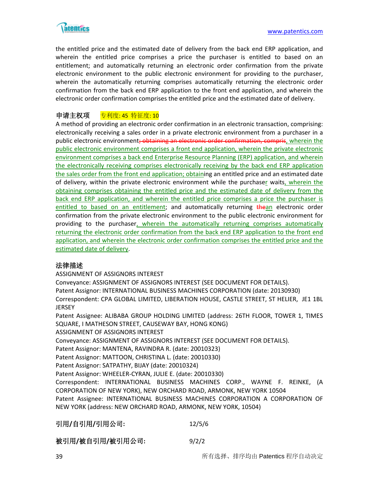

the entitled price and the estimated date of delivery from the back end ERP application, and wherein the entitled price comprises a price the purchaser is entitled to based on an entitlement; and automatically returning an electronic order confirmation from the private electronic environment to the public electronic environment for providing to the purchaser, wherein the automatically returning comprises automatically returning the electronic order confirmation from the back end ERP application to the front end application, and wherein the electronic order confirmation comprises the entitled price and the estimated date of delivery.

# 申请主权项 专利度: 45 特征度: 10

A method of providing an electronic order confirmation in an electronic transaction, comprising: electronically receiving a sales order in a private electronic environment from a purchaser in a public electronic environment<del>; obtaining an electronic order confirmation, compris</del>, wherein the public electronic environment comprises a front end application, wherein the private electronic environment comprises a back end Enterprise Resource Planning (ERP) application, and wherein the electronically receiving comprises electronically receiving by the back end ERP application the sales order from the front end application; obtaining an entitled price and an estimated date of delivery, within the private electronic environment while the purchaser waits, wherein the obtaining comprises obtaining the entitled price and the estimated date of delivery from the back end ERP application, and wherein the entitled price comprises a price the purchaser is entitled to based on an entitlement; and automatically returning thean electronic order confirmation from the private electronic environment to the public electronic environment for providing to the purchaser, wherein the automatically returning comprises automatically returning the electronic order confirmation from the back end ERP application to the front end application, and wherein the electronic order confirmation comprises the entitled price and the estimated date of delivery.

### 法律描述

ASSIGNMENT OF ASSIGNORS INTEREST

Conveyance: ASSIGNMENT OF ASSIGNORS INTEREST (SEE DOCUMENT FOR DETAILS). Patent Assignor: INTERNATIONAL BUSINESS MACHINES CORPORATION (date: 20130930) Correspondent: CPA GLOBAL LIMITED, LIBERATION HOUSE, CASTLE STREET, ST HELIER, JE1 1BL **JERSEY** 

Patent Assignee: ALIBABA GROUP HOLDING LIMITED (address: 26TH FLOOR, TOWER 1, TIMES SQUARE, I MATHESON STREET, CAUSEWAY BAY, HONG KONG)

ASSIGNMENT OF ASSIGNORS INTEREST

Conveyance: ASSIGNMENT OF ASSIGNORS INTEREST (SEE DOCUMENT FOR DETAILS).

Patent Assignor: MANTENA, RAVINDRA R. (date: 20010323)

Patent Assignor: MATTOON, CHRISTINA L. (date: 20010330)

Patent Assignor: SATPATHY, BIJAY (date: 20010324)

Patent Assignor: WHEELER-CYRAN, JULIE E. (date: 20010330)

Correspondent: INTERNATIONAL BUSINESS MACHINES CORP., WAYNE F. REINKE, (A CORPORATION OF NEW YORK), NEW ORCHARD ROAD, ARMONK, NEW YORK 10504 Patent Assignee: INTERNATIONAL BUSINESS MACHINES CORPORATION A CORPORATION OF NEW YORK (address: NEW ORCHARD ROAD, ARMONK, NEW YORK, 10504)

引用**/**自引用**/**引用公司**:** 12/5/6

被引用**/**被自引用**/**被引用公司**:** 9/2/2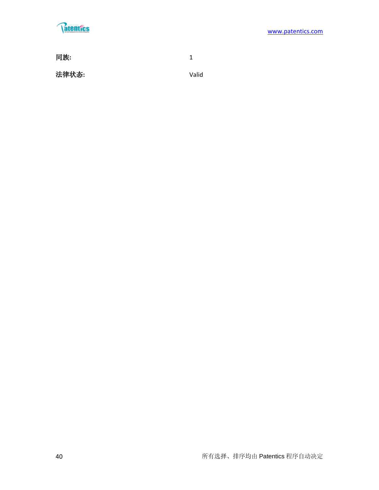# **Ratentics**

同族**:** 1 法律状态**:** Valid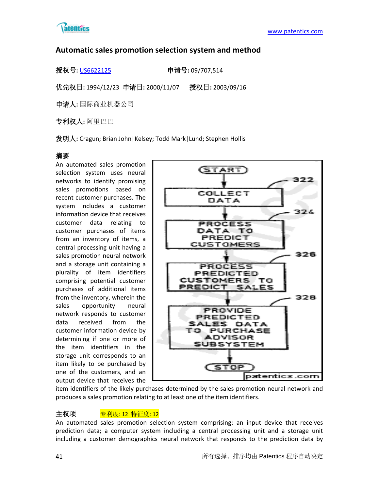

# **Automatic sales promotion selection system and method**

授权号**:** [US6622125](http://113.31.18.23/invokexml.do?sf=ShowPatent&spn=6622125&sv=70d75b021bab24f2346c56f4928f9916) 申请号**:** 09/707,514

优先权日**:** 1994/12/23 申请日**:** 2000/11/07 授权日**:** 2003/09/16

申请人**:** 国际商业机器公司

专利权人**:** 阿里巴巴

发明人**:** Cragun; Brian John|Kelsey; Todd Mark|Lund; Stephen Hollis

# 摘要

An automated sales promotion selection system uses neural networks to identify promising sales promotions based on recent customer purchases. The system includes a customer information device that receives customer data relating to customer purchases of items from an inventory of items, a central processing unit having a sales promotion neural network and a storage unit containing a plurality of item identifiers comprising potential customer purchases of additional items from the inventory, wherein the sales opportunity neural network responds to customer data received from the customer information device by determining if one or more of the item identifiers in the storage unit corresponds to an item likely to be purchased by one of the customers, and an output device that receives the



item identifiers of the likely purchases determined by the sales promotion neural network and produces a sales promotion relating to at least one of the item identifiers.

主权项 <mark>专利度: 12 特征度: 12</mark>

An automated sales promotion selection system comprising: an input device that receives prediction data; a computer system including a central processing unit and a storage unit including a customer demographics neural network that responds to the prediction data by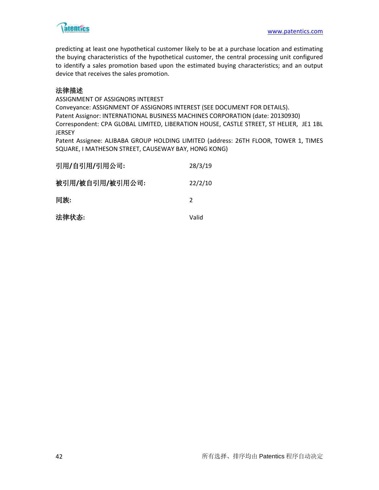

predicting at least one hypothetical customer likely to be at a purchase location and estimating the buying characteristics of the hypothetical customer, the central processing unit configured to identify a sales promotion based upon the estimated buying characteristics; and an output device that receives the sales promotion.

# 法律描述

ASSIGNMENT OF ASSIGNORS INTEREST Conveyance: ASSIGNMENT OF ASSIGNORS INTEREST (SEE DOCUMENT FOR DETAILS). Patent Assignor: INTERNATIONAL BUSINESS MACHINES CORPORATION (date: 20130930) Correspondent: CPA GLOBAL LIMITED, LIBERATION HOUSE, CASTLE STREET, ST HELIER, JE1 1BL JERSEY

Patent Assignee: ALIBABA GROUP HOLDING LIMITED (address: 26TH FLOOR, TOWER 1, TIMES SQUARE, I MATHESON STREET, CAUSEWAY BAY, HONG KONG)

| 引用/自引用/引用公司:    | 28/3/19       |
|-----------------|---------------|
| 被引用/被自引用/被引用公司: | 22/2/10       |
| 同族:             | $\mathcal{P}$ |
| 法律状态:           | Valid         |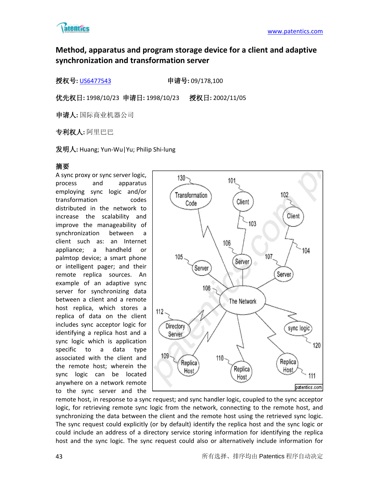

# **Method, apparatus and program storage device for a client and adaptive synchronization and transformation server**

授权号**:** [US6477543](http://113.31.18.23/invokexml.do?sf=ShowPatent&spn=6477543&sv=dd3c19c79285438c2a9e6c2df64ccf25) 申请号**:** 09/178,100

优先权日**:** 1998/10/23 申请日**:** 1998/10/23 授权日**:** 2002/11/05

申请人**:** 国际商业机器公司

专利权人**:** 阿里巴巴

发明人**:** Huang; Yun-Wu|Yu; Philip Shi-lung

# 摘要

A sync proxy or sync server logic, process and apparatus employing sync logic and/or transformation codes distributed in the network to increase the scalability and improve the manageability of synchronization between a client such as: an Internet appliance; a handheld or palmtop device; a smart phone or intelligent pager; and their remote replica sources. An example of an adaptive sync server for synchronizing data between a client and a remote host replica, which stores a replica of data on the client includes sync acceptor logic for identifying a replica host and a sync logic which is application specific to a data type associated with the client and the remote host; wherein the sync logic can be located anywhere on a network remote to the sync server and the



remote host, in response to a sync request; and sync handler logic, coupled to the sync acceptor logic, for retrieving remote sync logic from the network, connecting to the remote host, and synchronizing the data between the client and the remote host using the retrieved sync logic. The sync request could explicitly (or by default) identify the replica host and the sync logic or could include an address of a directory service storing information for identifying the replica host and the sync logic. The sync request could also or alternatively include information for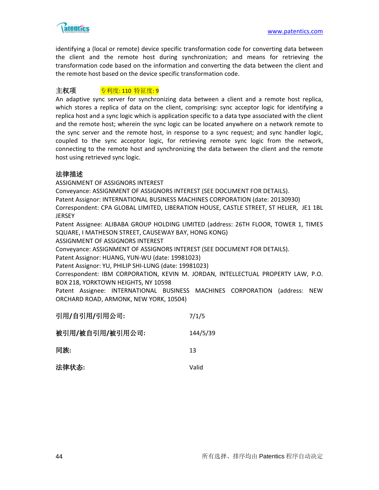

identifying a (local or remote) device specific transformation code for converting data between the client and the remote host during synchronization; and means for retrieving the transformation code based on the information and converting the data between the client and the remote host based on the device specific transformation code.

# 主权项 <u>专利度: 110 特征度: 9</u>

An adaptive sync server for synchronizing data between a client and a remote host replica, which stores a replica of data on the client, comprising: sync acceptor logic for identifying a replica host and a sync logic which is application specific to a data type associated with the client and the remote host; wherein the sync logic can be located anywhere on a network remote to the sync server and the remote host, in response to a sync request; and sync handler logic, coupled to the sync acceptor logic, for retrieving remote sync logic from the network, connecting to the remote host and synchronizing the data between the client and the remote host using retrieved sync logic.

# 法律描述

ASSIGNMENT OF ASSIGNORS INTEREST

Conveyance: ASSIGNMENT OF ASSIGNORS INTEREST (SEE DOCUMENT FOR DETAILS).

Patent Assignor: INTERNATIONAL BUSINESS MACHINES CORPORATION (date: 20130930)

Correspondent: CPA GLOBAL LIMITED, LIBERATION HOUSE, CASTLE STREET, ST HELIER, JE1 1BL **JERSEY** 

Patent Assignee: ALIBABA GROUP HOLDING LIMITED (address: 26TH FLOOR, TOWER 1, TIMES SQUARE, I MATHESON STREET, CAUSEWAY BAY, HONG KONG)

ASSIGNMENT OF ASSIGNORS INTEREST

Conveyance: ASSIGNMENT OF ASSIGNORS INTEREST (SEE DOCUMENT FOR DETAILS).

Patent Assignor: HUANG, YUN-WU (date: 19981023)

Patent Assignor: YU, PHILIP SHI-LUNG (date: 19981023)

Correspondent: IBM CORPORATION, KEVIN M. JORDAN, INTELLECTUAL PROPERTY LAW, P.O. BOX 218, YORKTOWN HEIGHTS, NY 10598

Patent Assignee: INTERNATIONAL BUSINESS MACHINES CORPORATION (address: NEW ORCHARD ROAD, ARMONK, NEW YORK, 10504)

| 引用/自引用/引用公司:    | 7/1/5    |
|-----------------|----------|
| 被引用/被自引用/被引用公司: | 144/5/39 |
| 同族:             | 13       |
| 法律状态:           | Valid    |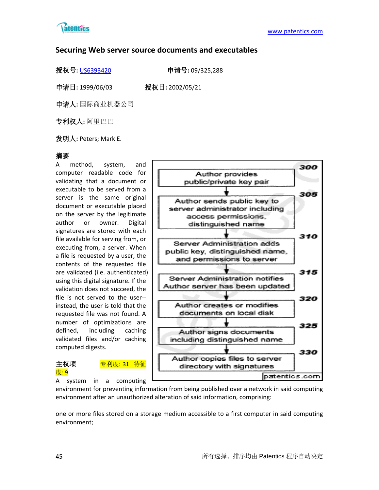

# **Securing Web server source documents and executables**

授权号**:** [US6393420](http://113.31.18.23/invokexml.do?sf=ShowPatent&spn=6393420&sv=e26ec9b36233cb4004eab56a471769a2) 申请号**:** 09/325,288

申请日**:** 1999/06/03 授权日**:** 2002/05/21

申请人**:** 国际商业机器公司

专利权人**:** 阿里巴巴

发明人**:** Peters; Mark E.

# 摘要

A method, system, and computer readable code for validating that a document or executable to be served from a server is the same original document or executable placed on the server by the legitimate author or owner. Digital signatures are stored with each file available for serving from, or executing from, a server. When a file is requested by a user, the contents of the requested file are validated (i.e. authenticated) using this digital signature. If the validation does not succeed, the file is not served to the user- instead, the user is told that the requested file was not found. A number of optimizations are defined, including caching validated files and/or caching computed digests.







environment for preventing information from being published over a network in said computing environment after an unauthorized alteration of said information, comprising:

one or more files stored on a storage medium accessible to a first computer in said computing environment;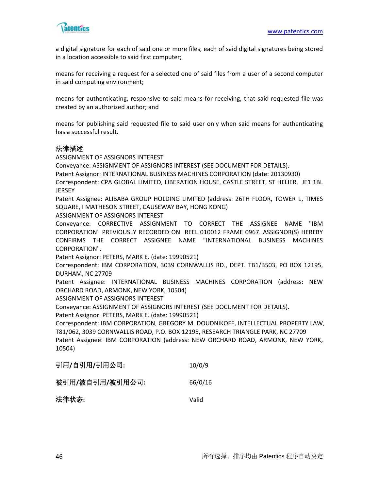

a digital signature for each of said one or more files, each of said digital signatures being stored in a location accessible to said first computer;

means for receiving a request for a selected one of said files from a user of a second computer in said computing environment;

means for authenticating, responsive to said means for receiving, that said requested file was created by an authorized author; and

means for publishing said requested file to said user only when said means for authenticating has a successful result.

#### 法律描述

ASSIGNMENT OF ASSIGNORS INTEREST

Conveyance: ASSIGNMENT OF ASSIGNORS INTEREST (SEE DOCUMENT FOR DETAILS).

Patent Assignor: INTERNATIONAL BUSINESS MACHINES CORPORATION (date: 20130930)

Correspondent: CPA GLOBAL LIMITED, LIBERATION HOUSE, CASTLE STREET, ST HELIER, JE1 1BL **JERSEY** 

Patent Assignee: ALIBABA GROUP HOLDING LIMITED (address: 26TH FLOOR, TOWER 1, TIMES SQUARE, I MATHESON STREET, CAUSEWAY BAY, HONG KONG)

ASSIGNMENT OF ASSIGNORS INTEREST

Conveyance: CORRECTIVE ASSIGNMENT TO CORRECT THE ASSIGNEE NAME "IBM CORPORATION" PREVIOUSLY RECORDED ON REEL 010012 FRAME 0967. ASSIGNOR(S) HEREBY CONFIRMS THE CORRECT ASSIGNEE NAME "INTERNATIONAL BUSINESS MACHINES CORPORATION".

Patent Assignor: PETERS, MARK E. (date: 19990521)

Correspondent: IBM CORPORATION, 3039 CORNWALLIS RD., DEPT. TB1/B503, PO BOX 12195, DURHAM, NC 27709

Patent Assignee: INTERNATIONAL BUSINESS MACHINES CORPORATION (address: NEW ORCHARD ROAD, ARMONK, NEW YORK, 10504)

ASSIGNMENT OF ASSIGNORS INTEREST

Conveyance: ASSIGNMENT OF ASSIGNORS INTEREST (SEE DOCUMENT FOR DETAILS).

Patent Assignor: PETERS, MARK E. (date: 19990521)

Correspondent: IBM CORPORATION, GREGORY M. DOUDNIKOFF, INTELLECTUAL PROPERTY LAW, T81/062, 3039 CORNWALLIS ROAD, P.O. BOX 12195, RESEARCH TRIANGLE PARK, NC 27709 Patent Assignee: IBM CORPORATION (address: NEW ORCHARD ROAD, ARMONK, NEW YORK, 10504)

| 引用/自引用/引用公司: | 10/0/9 |
|--------------|--------|
|              |        |

| 被引用/被自引用/被引用公司: | 66/0/16 |
|-----------------|---------|
|                 |         |

法律状态**:** Valid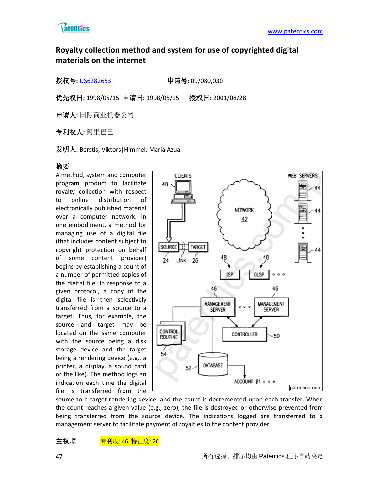

# **Royalty collection method and system for use of copyrighted digital materials on the internet**

授权号**:** [US6282653](http://113.31.18.23/invokexml.do?sf=ShowPatent&spn=6282653&sv=afbe3b751d26273788beb52d6d138109) 申请号**:** 09/080,030

优先权日**:** 1998/05/15 申请日**:** 1998/05/15 授权日**:** 2001/08/28

申请人**:** 国际商业机器公司

专利权人**:** 阿里巴巴

发明人**:** Berstis; Viktors|Himmel; Maria Azua

# 摘要

A method, system and computer program product to facilitate royalty collection with respect to online distribution of electronically published material over a computer network. In one embodiment, a method for managing use of a digital file (that includes content subject to copyright protection on behalf of some content provider) begins by establishing a count of a number of permitted copies of the digital file. In response to a given protocol, a copy of the digital file is then selectively transferred from a source to a target. Thus, for example, the source and target may be located on the same computer with the source being a disk storage device and the target being a rendering device (e.g., a printer, a display, a sound card or the like). The method logs an indication each time the digital file is transferred from the



source to a target rendering device, and the count is decremented upon each transfer. When the count reaches a given value (e.g., zero), the file is destroyed or otherwise prevented from being transferred from the source device. The indications logged are transferred to a management server to facilitate payment of royalties to the content provider.

主权项 专利度: 46 特征度: 26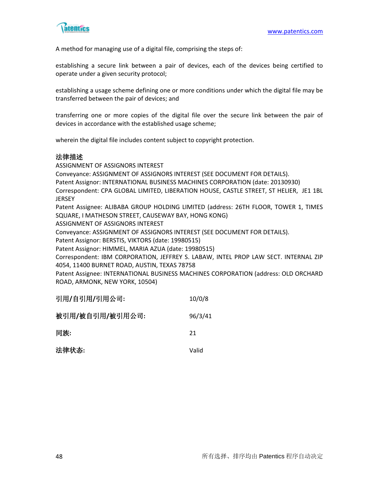

A method for managing use of a digital file, comprising the steps of:

establishing a secure link between a pair of devices, each of the devices being certified to operate under a given security protocol;

establishing a usage scheme defining one or more conditions under which the digital file may be transferred between the pair of devices; and

transferring one or more copies of the digital file over the secure link between the pair of devices in accordance with the established usage scheme;

wherein the digital file includes content subject to copyright protection.

#### 法律描述

ASSIGNMENT OF ASSIGNORS INTEREST

Conveyance: ASSIGNMENT OF ASSIGNORS INTEREST (SEE DOCUMENT FOR DETAILS).

Patent Assignor: INTERNATIONAL BUSINESS MACHINES CORPORATION (date: 20130930)

Correspondent: CPA GLOBAL LIMITED, LIBERATION HOUSE, CASTLE STREET, ST HELIER, JE1 1BL **JERSEY** 

Patent Assignee: ALIBABA GROUP HOLDING LIMITED (address: 26TH FLOOR, TOWER 1, TIMES SQUARE, I MATHESON STREET, CAUSEWAY BAY, HONG KONG)

ASSIGNMENT OF ASSIGNORS INTEREST

Conveyance: ASSIGNMENT OF ASSIGNORS INTEREST (SEE DOCUMENT FOR DETAILS).

Patent Assignor: BERSTIS, VIKTORS (date: 19980515)

Patent Assignor: HIMMEL, MARIA AZUA (date: 19980515)

Correspondent: IBM CORPORATION, JEFFREY S. LABAW, INTEL PROP LAW SECT. INTERNAL ZIP 4054, 11400 BURNET ROAD, AUSTIN, TEXAS 78758

Patent Assignee: INTERNATIONAL BUSINESS MACHINES CORPORATION (address: OLD ORCHARD ROAD, ARMONK, NEW YORK, 10504)

| 引用/自引用/引用公司:    | 10/0/8  |
|-----------------|---------|
| 被引用/被自引用/被引用公司: | 96/3/41 |
| 同族:             | 21      |
| 法律状态:           | Valid   |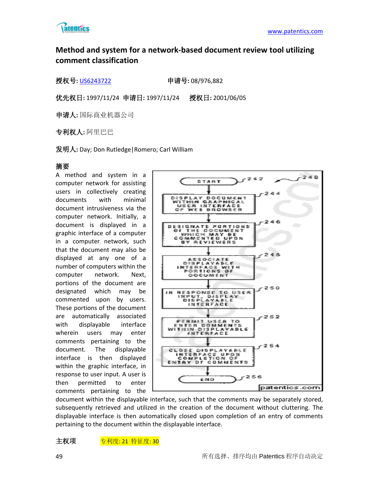

# **Method and system for a network-based document review tool utilizing comment classification**

授权号**:** [US6243722](http://113.31.18.23/invokexml.do?sf=ShowPatent&spn=6243722&sv=b3f5a695cc0230ece0a65f6f984938c4) 申请号**:** 08/976,882

优先权日**:** 1997/11/24 申请日**:** 1997/11/24 授权日**:** 2001/06/05

申请人**:** 国际商业机器公司

专利权人**:** 阿里巴巴

发明人**:** Day; Don Rutledge|Romero; Carl William

# 摘要

A method and system in a computer network for assisting users in collectively creating documents with minimal document intrusiveness via the computer network. Initially, a document is displayed in a graphic interface of a computer in a computer network, such that the document may also be displayed at any one of a number of computers within the computer network. Next, portions of the document are designated which may be commented upon by users. These portions of the document are automatically associated with displayable interface wherein users may enter comments pertaining to the document. The displayable interface is then displayed within the graphic interface, in response to user input. A user is then permitted to enter comments pertaining to the



document within the displayable interface, such that the comments may be separately stored, subsequently retrieved and utilized in the creation of the document without cluttering. The displayable interface is then automatically closed upon completion of an entry of comments pertaining to the document within the displayable interface.

主权项 <mark>专利度: 21 特征度: 30</mark>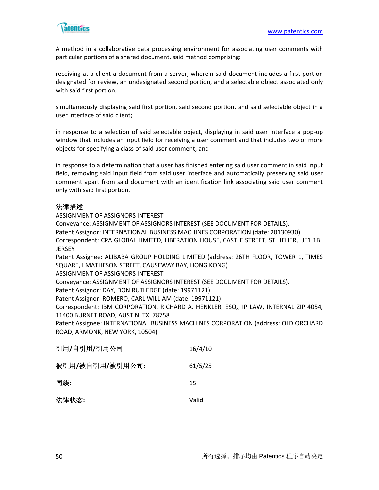

A method in a collaborative data processing environment for associating user comments with particular portions of a shared document, said method comprising:

receiving at a client a document from a server, wherein said document includes a first portion designated for review, an undesignated second portion, and a selectable object associated only with said first portion;

simultaneously displaying said first portion, said second portion, and said selectable object in a user interface of said client;

in response to a selection of said selectable object, displaying in said user interface a pop-up window that includes an input field for receiving a user comment and that includes two or more objects for specifying a class of said user comment; and

in response to a determination that a user has finished entering said user comment in said input field, removing said input field from said user interface and automatically preserving said user comment apart from said document with an identification link associating said user comment only with said first portion.

### 法律描述

ASSIGNMENT OF ASSIGNORS INTEREST

Conveyance: ASSIGNMENT OF ASSIGNORS INTEREST (SEE DOCUMENT FOR DETAILS).

Patent Assignor: INTERNATIONAL BUSINESS MACHINES CORPORATION (date: 20130930)

Correspondent: CPA GLOBAL LIMITED, LIBERATION HOUSE, CASTLE STREET, ST HELIER, JE1 1BL JERSEY

Patent Assignee: ALIBABA GROUP HOLDING LIMITED (address: 26TH FLOOR, TOWER 1, TIMES SQUARE, I MATHESON STREET, CAUSEWAY BAY, HONG KONG)

ASSIGNMENT OF ASSIGNORS INTEREST

Conveyance: ASSIGNMENT OF ASSIGNORS INTEREST (SEE DOCUMENT FOR DETAILS).

Patent Assignor: DAY, DON RUTLEDGE (date: 19971121)

Patent Assignor: ROMERO, CARL WILLIAM (date: 19971121)

Correspondent: IBM CORPORATION, RICHARD A. HENKLER, ESQ., IP LAW, INTERNAL ZIP 4054, 11400 BURNET ROAD, AUSTIN, TX 78758

Patent Assignee: INTERNATIONAL BUSINESS MACHINES CORPORATION (address: OLD ORCHARD ROAD, ARMONK, NEW YORK, 10504)

| 引用/自引用/引用公司:    | 16/4/10 |
|-----------------|---------|
| 被引用/被自引用/被引用公司: | 61/5/25 |
| 同族:             | 15      |
| 法律状态:           | Valid   |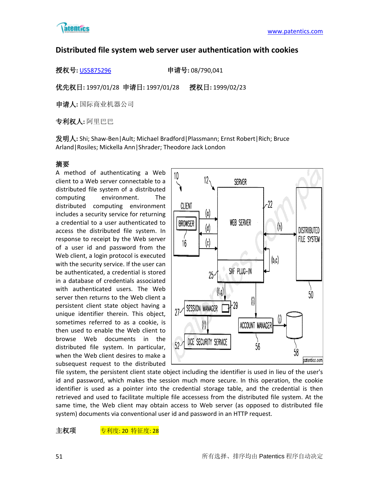

# **Distributed file system web server user authentication with cookies**

授权号**:** [US5875296](http://113.31.18.23/invokexml.do?sf=ShowPatent&spn=5875296&sv=60db2052540e3db4b6331e144da14709) 申请号**:** 08/790,041

优先权日**:** 1997/01/28 申请日**:** 1997/01/28 授权日**:** 1999/02/23

申请人**:** 国际商业机器公司

专利权人**:** 阿里巴巴

发明人**:** Shi; Shaw-Ben|Ault; Michael Bradford|Plassmann; Ernst Robert|Rich; Bruce Arland|Rosiles; Mickella Ann|Shrader; Theodore Jack London

# 摘要

A method of authenticating a Web client to a Web server connectable to a distributed file system of a distributed computing environment. The distributed computing environment includes a security service for returning a credential to a user authenticated to access the distributed file system. In response to receipt by the Web server of a user id and password from the Web client, a login protocol is executed with the security service. If the user can be authenticated, a credential is stored in a database of credentials associated with authenticated users. The Web server then returns to the Web client a persistent client state object having a unique identifier therein. This object, sometimes referred to as a cookie, is then used to enable the Web client to browse Web documents in the distributed file system. In particular, when the Web client desires to make a subsequest request to the distributed



file system, the persistent client state object including the identifier is used in lieu of the user's id and password, which makes the session much more secure. In this operation, the cookie identifier is used as a pointer into the credential storage table, and the credential is then retrieved and used to facilitate multiple file accessess from the distributed file system. At the same time, the Web client may obtain access to Web server (as opposed to distributed file system) documents via conventional user id and password in an HTTP request.

主权项 专利度: 20 特征度: 28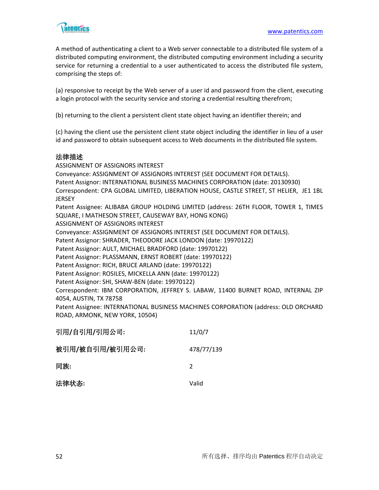

A method of authenticating a client to a Web server connectable to a distributed file system of a distributed computing environment, the distributed computing environment including a security service for returning a credential to a user authenticated to access the distributed file system, comprising the steps of:

(a) responsive to receipt by the Web server of a user id and password from the client, executing a login protocol with the security service and storing a credential resulting therefrom;

(b) returning to the client a persistent client state object having an identifier therein; and

(c) having the client use the persistent client state object including the identifier in lieu of a user id and password to obtain subsequent access to Web documents in the distributed file system.

# 法律描述

ASSIGNMENT OF ASSIGNORS INTEREST Conveyance: ASSIGNMENT OF ASSIGNORS INTEREST (SEE DOCUMENT FOR DETAILS). Patent Assignor: INTERNATIONAL BUSINESS MACHINES CORPORATION (date: 20130930) Correspondent: CPA GLOBAL LIMITED, LIBERATION HOUSE, CASTLE STREET, ST HELIER, JE1 1BL **JERSEY** Patent Assignee: ALIBABA GROUP HOLDING LIMITED (address: 26TH FLOOR, TOWER 1, TIMES SQUARE, I MATHESON STREET, CAUSEWAY BAY, HONG KONG) ASSIGNMENT OF ASSIGNORS INTEREST Conveyance: ASSIGNMENT OF ASSIGNORS INTEREST (SEE DOCUMENT FOR DETAILS). Patent Assignor: SHRADER, THEODORE JACK LONDON (date: 19970122) Patent Assignor: AULT, MICHAEL BRADFORD (date: 19970122) Patent Assignor: PLASSMANN, ERNST ROBERT (date: 19970122) Patent Assignor: RICH, BRUCE ARLAND (date: 19970122) Patent Assignor: ROSILES, MICKELLA ANN (date: 19970122) Patent Assignor: SHI, SHAW-BEN (date: 19970122) Correspondent: IBM CORPORATION, JEFFREY S. LABAW, 11400 BURNET ROAD, INTERNAL ZIP 4054, AUSTIN, TX 78758 Patent Assignee: INTERNATIONAL BUSINESS MACHINES CORPORATION (address: OLD ORCHARD ROAD, ARMONK, NEW YORK, 10504)

| 引用/自引用/引用公司:    | 11/0/7        |
|-----------------|---------------|
| 被引用/被自引用/被引用公司: | 478/77/139    |
| 同族:             | $\mathcal{P}$ |
| 法律状态:           | Valid         |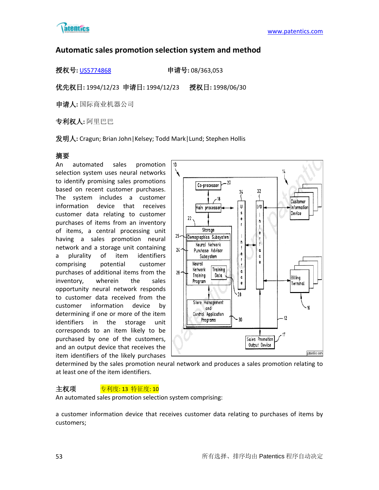

# **Automatic sales promotion selection system and method**

授权号**:** [US5774868](http://113.31.18.23/invokexml.do?sf=ShowPatent&spn=5774868&sv=4f7363672eb807d02ee0ea5794bbdc5c) 申请号**:** 08/363,053

优先权日**:** 1994/12/23 申请日**:** 1994/12/23 授权日**:** 1998/06/30

申请人**:** 国际商业机器公司

专利权人**:** 阿里巴巴

发明人**:** Cragun; Brian John|Kelsey; Todd Mark|Lund; Stephen Hollis

# 摘要

An automated sales promotion selection system uses neural networks to identify promising sales promotions based on recent customer purchases. The system includes a customer information device that receives customer data relating to customer purchases of items from an inventory of items, a central processing unit having a sales promotion neural network and a storage unit containing a plurality of item identifiers comprising potential customer purchases of additional items from the inventory, wherein the sales opportunity neural network responds to customer data received from the customer information device by determining if one or more of the item identifiers in the storage unit corresponds to an item likely to be purchased by one of the customers, and an output device that receives the item identifiers of the likely purchases



determined by the sales promotion neural network and produces a sales promotion relating to at least one of the item identifiers.

# 主权项 <mark>专利度: 13 特征度: 10</mark>

An automated sales promotion selection system comprising:

a customer information device that receives customer data relating to purchases of items by customers;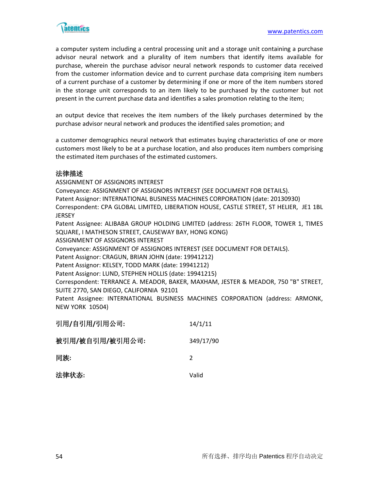

a computer system including a central processing unit and a storage unit containing a purchase advisor neural network and a plurality of item numbers that identify items available for purchase, wherein the purchase advisor neural network responds to customer data received from the customer information device and to current purchase data comprising item numbers of a current purchase of a customer by determining if one or more of the item numbers stored in the storage unit corresponds to an item likely to be purchased by the customer but not present in the current purchase data and identifies a sales promotion relating to the item;

an output device that receives the item numbers of the likely purchases determined by the purchase advisor neural network and produces the identified sales promotion; and

a customer demographics neural network that estimates buying characteristics of one or more customers most likely to be at a purchase location, and also produces item numbers comprising the estimated item purchases of the estimated customers.

# 法律描述

ASSIGNMENT OF ASSIGNORS INTEREST Conveyance: ASSIGNMENT OF ASSIGNORS INTEREST (SEE DOCUMENT FOR DETAILS). Patent Assignor: INTERNATIONAL BUSINESS MACHINES CORPORATION (date: 20130930) Correspondent: CPA GLOBAL LIMITED, LIBERATION HOUSE, CASTLE STREET, ST HELIER, JE1 1BL **JERSEY** Patent Assignee: ALIBABA GROUP HOLDING LIMITED (address: 26TH FLOOR, TOWER 1, TIMES SQUARE, I MATHESON STREET, CAUSEWAY BAY, HONG KONG) ASSIGNMENT OF ASSIGNORS INTEREST Conveyance: ASSIGNMENT OF ASSIGNORS INTEREST (SEE DOCUMENT FOR DETAILS). Patent Assignor: CRAGUN, BRIAN JOHN (date: 19941212) Patent Assignor: KELSEY, TODD MARK (date: 19941212) Patent Assignor: LUND, STEPHEN HOLLIS (date: 19941215) Correspondent: TERRANCE A. MEADOR, BAKER, MAXHAM, JESTER & MEADOR, 750 "B" STREET, SUITE 2770, SAN DIEGO, CALIFORNIA 92101 Patent Assignee: INTERNATIONAL BUSINESS MACHINES CORPORATION (address: ARMONK,

NEW YORK 10504)

| 引用/自引用/引用公司:    | 14/1/11       |
|-----------------|---------------|
| 被引用/被自引用/被引用公司: | 349/17/90     |
| 同族:             | $\mathcal{P}$ |
| 法律状态:           | Valid         |